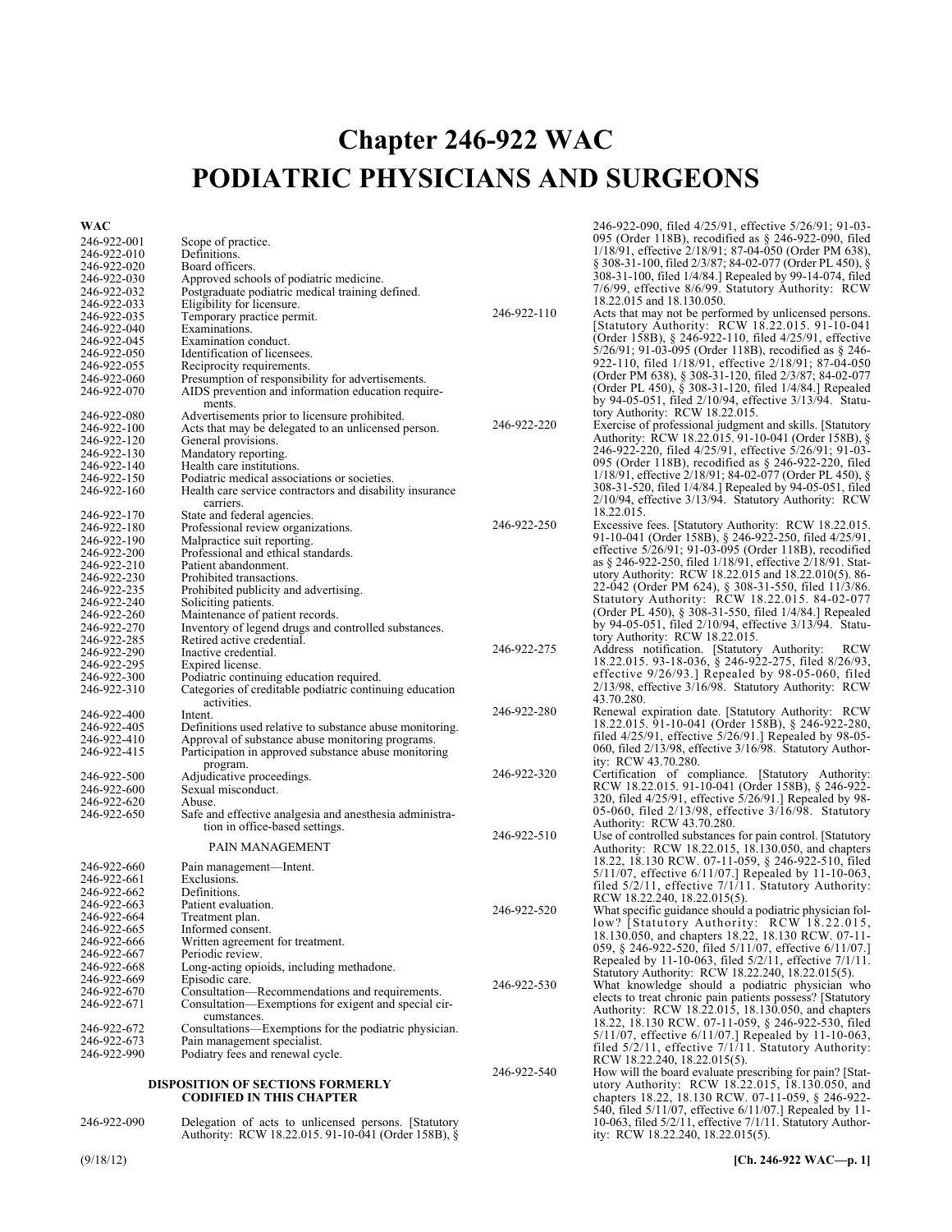# **Chapter 246-922 WAC PODIATRIC PHYSICIANS AND SURGEONS**

### **WAC**

| WAC                        |                                                                                                      |             | 246-922-090, filed 4/25/91, effective 5/26/91; 91-03-                                                                      |
|----------------------------|------------------------------------------------------------------------------------------------------|-------------|----------------------------------------------------------------------------------------------------------------------------|
| 246-922-001                | Scope of practice.                                                                                   |             | 095 (Order 118B), recodified as $\S$ 246-922-090, filed                                                                    |
| 246-922-010                | Definitions.                                                                                         |             | 1/18/91, effective 2/18/91; 87-04-050 (Order PM 638),                                                                      |
| 246-922-020                | Board officers.                                                                                      |             | $\S 308-31-100$ , filed 2/3/87; 84-02-077 (Order PL 450), $\S$<br>308-31-100, filed 1/4/84.] Repealed by 99-14-074, filed  |
| 246-922-030                | Approved schools of podiatric medicine.                                                              |             | 7/6/99, effective 8/6/99. Statutory Authority: RCW                                                                         |
| 246-922-032<br>246-922-033 | Postgraduate podiatric medical training defined.                                                     |             | 18.22.015 and 18.130.050.                                                                                                  |
| 246-922-035                | Eligibility for licensure.<br>Temporary practice permit.                                             | 246-922-110 | Acts that may not be performed by unlicensed persons.                                                                      |
| 246-922-040                | Examinations.                                                                                        |             | [Statutory Authority: RCW 18.22.015. 91-10-041                                                                             |
| 246-922-045                | Examination conduct.                                                                                 |             | (Order 158B), § 246-922-110, filed 4/25/91, effective                                                                      |
| 246-922-050                | Identification of licensees.                                                                         |             | $5/26/91$ ; 91-03-095 (Order 118B), recodified as § 246-                                                                   |
| 246-922-055                | Reciprocity requirements.                                                                            |             | 922-110, filed 1/18/91, effective 2/18/91; 87-04-050                                                                       |
| 246-922-060                | Presumption of responsibility for advertisements.                                                    |             | (Order PM 638), § 308-31-120, filed 2/3/87; 84-02-077                                                                      |
| 246-922-070                | AIDS prevention and information education require-                                                   |             | (Order PL 450), § 308-31-120, filed 1/4/84.] Repealed                                                                      |
|                            | ments.                                                                                               |             | by 94-05-051, filed 2/10/94, effective 3/13/94. Statu-<br>tory Authority: RCW 18.22.015.                                   |
| 246-922-080<br>246-922-100 | Advertisements prior to licensure prohibited.<br>Acts that may be delegated to an unlicensed person. | 246-922-220 | Exercise of professional judgment and skills. [Statutory                                                                   |
| 246-922-120                | General provisions.                                                                                  |             | Authority: RCW 18.22.015. 91-10-041 (Order 158B), §                                                                        |
| 246-922-130                | Mandatory reporting.                                                                                 |             | 246-922-220, filed 4/25/91, effective 5/26/91; 91-03-                                                                      |
| 246-922-140                | Health care institutions.                                                                            |             | 095 (Order 118B), recodified as $\S$ 246-922-220, filed                                                                    |
| 246-922-150                | Podiatric medical associations or societies.                                                         |             | $1/18/91$ , effective $2/18/91$ ; 84-02-077 (Order PL 450), §                                                              |
| 246-922-160                | Health care service contractors and disability insurance                                             |             | 308-31-520, filed 1/4/84.] Repealed by 94-05-051, filed                                                                    |
|                            | carriers.                                                                                            |             | 2/10/94, effective 3/13/94. Statutory Authority: RCW                                                                       |
| 246-922-170                | State and federal agencies.                                                                          | 246-922-250 | 18.22.015.                                                                                                                 |
| 246-922-180                | Professional review organizations.                                                                   |             | Excessive fees. [Statutory Authority: RCW 18.22.015.]<br>91-10-041 (Order 158B), § 246-922-250, filed 4/25/91,             |
| 246-922-190<br>246-922-200 | Malpractice suit reporting.                                                                          |             | effective 5/26/91; 91-03-095 (Order 118B), recodified                                                                      |
| 246-922-210                | Professional and ethical standards.<br>Patient abandonment.                                          |             | as § 246-922-250, filed 1/18/91, effective 2/18/91. Stat-                                                                  |
| 246-922-230                | Prohibited transactions.                                                                             |             | utory Authority: RCW 18.22.015 and 18.22.010(5). 86-                                                                       |
| 246-922-235                | Prohibited publicity and advertising.                                                                |             | 22-042 (Order PM 624), § 308-31-550, filed 11/3/86.                                                                        |
| 246-922-240                | Soliciting patients.                                                                                 |             | Statutory Authority: RCW 18.22.015. 84-02-077                                                                              |
| 246-922-260                | Maintenance of patient records.                                                                      |             | (Order PL 450), § 308-31-550, filed 1/4/84.] Repealed                                                                      |
| 246-922-270                | Inventory of legend drugs and controlled substances.                                                 |             | by 94-05-051, filed 2/10/94, effective 3/13/94. Statu-                                                                     |
| 246-922-285                | Retired active credential.                                                                           | 246-922-275 | tory Authority: RCW 18.22.015.                                                                                             |
| 246-922-290                | Inactive credential.                                                                                 |             | Address notification. [Statutory Authority:<br><b>RCW</b><br>18.22.015. 93-18-036, § 246-922-275, filed 8/26/93,           |
| 246-922-295                | Expired license.                                                                                     |             | effective $9/26/93$ . Repealed by $98-05-060$ , filed                                                                      |
| 246-922-300<br>246-922-310 | Podiatric continuing education required.<br>Categories of creditable podiatric continuing education  |             | 2/13/98, effective 3/16/98. Statutory Authority: RCW                                                                       |
|                            | activities.                                                                                          |             | 43.70.280.                                                                                                                 |
| 246-922-400                | Intent.                                                                                              | 246-922-280 | Renewal expiration date. [Statutory Authority: RCW                                                                         |
| 246-922-405                | Definitions used relative to substance abuse monitoring.                                             |             | 18.22.015. 91-10-041 (Order 158B), § 246-922-280,                                                                          |
| 246-922-410                | Approval of substance abuse monitoring programs.                                                     |             | filed $4/25/91$ , effective $5/26/91$ . Repealed by 98-05-                                                                 |
| 246-922-415                | Participation in approved substance abuse monitoring                                                 |             | 060, filed 2/13/98, effective 3/16/98. Statutory Author-                                                                   |
|                            | program.                                                                                             | 246-922-320 | ity: RCW 43.70.280.<br>Certification of compliance. [Statutory Authority:                                                  |
| 246-922-500                | Adjudicative proceedings.                                                                            |             | RCW 18.22.015. 91-10-041 (Order 158B), § 246-922-                                                                          |
| 246-922-600<br>246-922-620 | Sexual misconduct.<br>Abuse.                                                                         |             | 320, filed 4/25/91, effective 5/26/91.] Repealed by 98-                                                                    |
| 246-922-650                | Safe and effective analgesia and anesthesia administra-                                              |             | 05-060, filed $2/13/98$ , effective $3/16/98$ . Statutory                                                                  |
|                            | tion in office-based settings.                                                                       |             | Authority: RCW 43.70.280.                                                                                                  |
|                            |                                                                                                      | 246-922-510 | Use of controlled substances for pain control. [Statutory                                                                  |
|                            | PAIN MANAGEMENT                                                                                      |             | Authority: RCW 18.22.015, 18.130.050, and chapters                                                                         |
| 246-922-660                | Pain management—Intent.                                                                              |             | 18.22, 18.130 RCW. 07-11-059, § 246-922-510, filed                                                                         |
| 246-922-661                | Exclusions.                                                                                          |             | $5/11/07$ , effective $6/11/07$ . Repealed by 11-10-063,                                                                   |
| 246-922-662                | Definitions.                                                                                         |             | filed 5/2/11, effective 7/1/11. Statutory Authority:<br>RCW 18.22.240, 18.22.015(5).                                       |
| 246-922-663                | Patient evaluation.                                                                                  | 246-922-520 | What specific guidance should a podiatric physician fol-                                                                   |
| 246-922-664                | Treatment plan.                                                                                      |             | low? [Statutory Authority: RCW 18.22.015,                                                                                  |
| 246-922-665                | Informed consent.                                                                                    |             | 18.130.050, and chapters 18.22, 18.130 RCW. 07-11-                                                                         |
| 246-922-666<br>246-922-667 | Written agreement for treatment.<br>Periodic review.                                                 |             | 059, § 246-922-520, filed 5/11/07, effective 6/11/07.                                                                      |
| 246-922-668                | Long-acting opioids, including methadone.                                                            |             | Repealed by 11-10-063, filed 5/2/11, effective 7/1/11.                                                                     |
| 246-922-669                | Episodic care.                                                                                       |             | Statutory Authority: RCW 18.22.240, 18.22.015(5).                                                                          |
| 246-922-670                | Consultation—Recommendations and requirements.                                                       | 246-922-530 | What knowledge should a podiatric physician who                                                                            |
| 246-922-671                | Consultation—Exemptions for exigent and special cir-                                                 |             | elects to treat chronic pain patients possess? [Statutory<br>Authority: RCW 18.22.015, 18.130.050, and chapters            |
|                            | cumstances.                                                                                          |             | 18.22, 18.130 RCW. 07-11-059, § 246-922-530, filed                                                                         |
| 246-922-672                | Consultations—Exemptions for the podiatric physician.                                                |             | 5/11/07, effective 6/11/07.] Repealed by 11-10-063,                                                                        |
| 246-922-673                | Pain management specialist.                                                                          |             | filed 5/2/11, effective 7/1/11. Statutory Authority:                                                                       |
| 246-922-990                | Podiatry fees and renewal cycle.                                                                     |             | RCW 18.22.240, 18.22.015(5).                                                                                               |
|                            |                                                                                                      | 246-922-540 | How will the board evaluate prescribing for pain? [Stat-                                                                   |
|                            | <b>DISPOSITION OF SECTIONS FORMERLY</b>                                                              |             | utory Authority: RCW 18.22.015, 18.130.050, and                                                                            |
|                            | <b>CODIFIED IN THIS CHAPTER</b>                                                                      |             | chapters 18.22, 18.130 RCW. 07-11-059, § 246-922-                                                                          |
| 246-922-090                | Delegation of acts to unlicensed persons. [Statutory                                                 |             | 540, filed 5/11/07, effective 6/11/07.] Repealed by 11-<br>10-063, filed $5/2/11$ , effective $7/1/11$ . Statutory Author- |
|                            |                                                                                                      |             |                                                                                                                            |

## 246-922-090 Delegation of acts to unlicensed persons. [Statutory

ity: RCW 18.22.240, 18.22.015(5).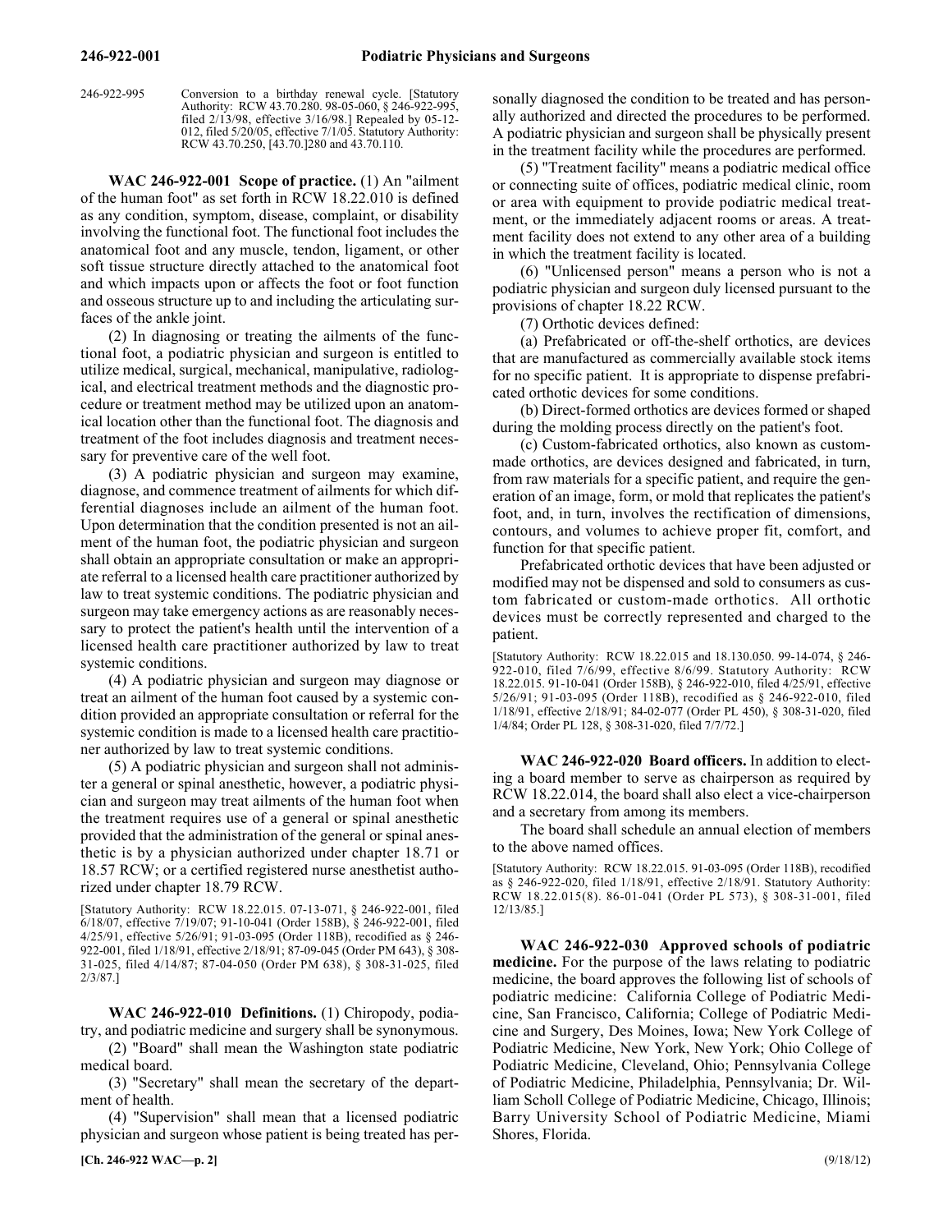246-922-995 Conversion to a birthday renewal cycle. [Statutory Authority: RCW 43.70.280. 98-05-060, § 246-922-995, filed 2/13/98, effective 3/16/98.] Repealed by 05-12- 012, filed 5/20/05, effective 7/1/05. Statutory Authority: RCW 43.70.250, [43.70.]280 and 43.70.110.

246-922-001 **WAC 246-922-001 Scope of practice.** (1) An "ailment of the human foot" as set forth in RCW 18.22.010 is defined as any condition, symptom, disease, complaint, or disability involving the functional foot. The functional foot includes the anatomical foot and any muscle, tendon, ligament, or other soft tissue structure directly attached to the anatomical foot and which impacts upon or affects the foot or foot function and osseous structure up to and including the articulating surfaces of the ankle joint.

(2) In diagnosing or treating the ailments of the functional foot, a podiatric physician and surgeon is entitled to utilize medical, surgical, mechanical, manipulative, radiological, and electrical treatment methods and the diagnostic procedure or treatment method may be utilized upon an anatomical location other than the functional foot. The diagnosis and treatment of the foot includes diagnosis and treatment necessary for preventive care of the well foot.

(3) A podiatric physician and surgeon may examine, diagnose, and commence treatment of ailments for which differential diagnoses include an ailment of the human foot. Upon determination that the condition presented is not an ailment of the human foot, the podiatric physician and surgeon shall obtain an appropriate consultation or make an appropriate referral to a licensed health care practitioner authorized by law to treat systemic conditions. The podiatric physician and surgeon may take emergency actions as are reasonably necessary to protect the patient's health until the intervention of a licensed health care practitioner authorized by law to treat systemic conditions.

(4) A podiatric physician and surgeon may diagnose or treat an ailment of the human foot caused by a systemic condition provided an appropriate consultation or referral for the systemic condition is made to a licensed health care practitioner authorized by law to treat systemic conditions.

(5) A podiatric physician and surgeon shall not administer a general or spinal anesthetic, however, a podiatric physician and surgeon may treat ailments of the human foot when the treatment requires use of a general or spinal anesthetic provided that the administration of the general or spinal anesthetic is by a physician authorized under chapter 18.71 or 18.57 RCW; or a certified registered nurse anesthetist authorized under chapter 18.79 RCW.

[Statutory Authority: RCW 18.22.015. 07-13-071, § 246-922-001, filed 6/18/07, effective 7/19/07; 91-10-041 (Order 158B), § 246-922-001, filed 4/25/91, effective 5/26/91; 91-03-095 (Order 118B), recodified as § 246- 922-001, filed 1/18/91, effective 2/18/91; 87-09-045 (Order PM 643), § 308- 31-025, filed 4/14/87; 87-04-050 (Order PM 638), § 308-31-025, filed 2/3/87.]

246-922-010 **WAC 246-922-010 Definitions.** (1) Chiropody, podiatry, and podiatric medicine and surgery shall be synonymous.

(2) "Board" shall mean the Washington state podiatric medical board.

(3) "Secretary" shall mean the secretary of the department of health.

(4) "Supervision" shall mean that a licensed podiatric physician and surgeon whose patient is being treated has personally diagnosed the condition to be treated and has personally authorized and directed the procedures to be performed. A podiatric physician and surgeon shall be physically present in the treatment facility while the procedures are performed.

(5) "Treatment facility" means a podiatric medical office or connecting suite of offices, podiatric medical clinic, room or area with equipment to provide podiatric medical treatment, or the immediately adjacent rooms or areas. A treatment facility does not extend to any other area of a building in which the treatment facility is located.

(6) "Unlicensed person" means a person who is not a podiatric physician and surgeon duly licensed pursuant to the provisions of chapter 18.22 RCW.

(7) Orthotic devices defined:

(a) Prefabricated or off-the-shelf orthotics, are devices that are manufactured as commercially available stock items for no specific patient. It is appropriate to dispense prefabricated orthotic devices for some conditions.

(b) Direct-formed orthotics are devices formed or shaped during the molding process directly on the patient's foot.

(c) Custom-fabricated orthotics, also known as custommade orthotics, are devices designed and fabricated, in turn, from raw materials for a specific patient, and require the generation of an image, form, or mold that replicates the patient's foot, and, in turn, involves the rectification of dimensions, contours, and volumes to achieve proper fit, comfort, and function for that specific patient.

Prefabricated orthotic devices that have been adjusted or modified may not be dispensed and sold to consumers as custom fabricated or custom-made orthotics. All orthotic devices must be correctly represented and charged to the patient.

[Statutory Authority: RCW 18.22.015 and 18.130.050. 99-14-074, § 246- 922-010, filed 7/6/99, effective 8/6/99. Statutory Authority: RCW 18.22.015. 91-10-041 (Order 158B), § 246-922-010, filed 4/25/91, effective 5/26/91; 91-03-095 (Order 118B), recodified as § 246-922-010, filed 1/18/91, effective 2/18/91; 84-02-077 (Order PL 450), § 308-31-020, filed 1/4/84; Order PL 128, § 308-31-020, filed 7/7/72.]

246-922-020 **WAC 246-922-020 Board officers.** In addition to electing a board member to serve as chairperson as required by RCW 18.22.014, the board shall also elect a vice-chairperson and a secretary from among its members.

The board shall schedule an annual election of members to the above named offices.

[Statutory Authority: RCW 18.22.015. 91-03-095 (Order 118B), recodified as § 246-922-020, filed 1/18/91, effective 2/18/91. Statutory Authority: RCW 18.22.015(8). 86-01-041 (Order PL 573), § 308-31-001, filed 12/13/85.]

246-922-030 **WAC 246-922-030 Approved schools of podiatric medicine.** For the purpose of the laws relating to podiatric medicine, the board approves the following list of schools of podiatric medicine: California College of Podiatric Medicine, San Francisco, California; College of Podiatric Medicine and Surgery, Des Moines, Iowa; New York College of Podiatric Medicine, New York, New York; Ohio College of Podiatric Medicine, Cleveland, Ohio; Pennsylvania College of Podiatric Medicine, Philadelphia, Pennsylvania; Dr. William Scholl College of Podiatric Medicine, Chicago, Illinois; Barry University School of Podiatric Medicine, Miami Shores, Florida.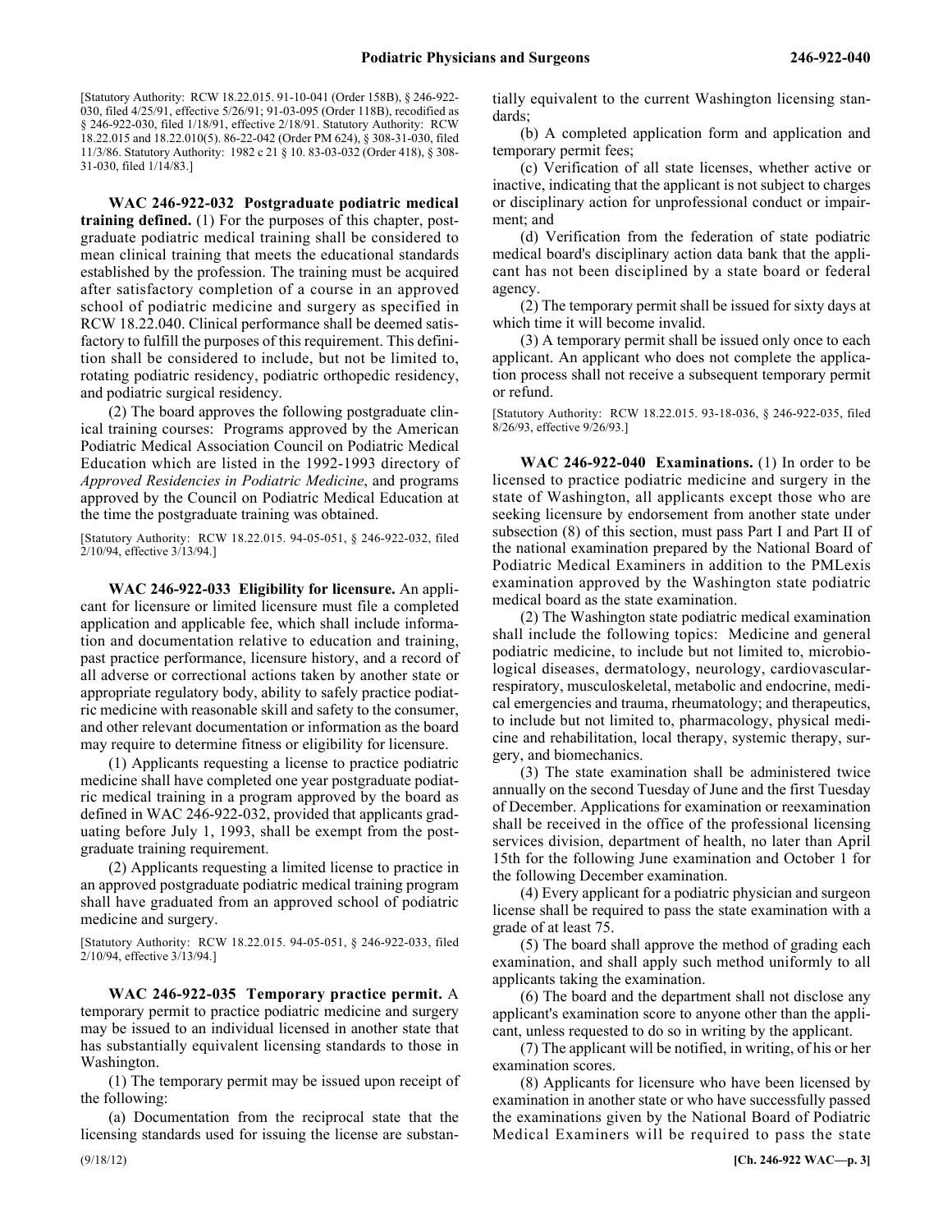[Statutory Authority: RCW 18.22.015. 91-10-041 (Order 158B), § 246-922- 030, filed 4/25/91, effective 5/26/91; 91-03-095 (Order 118B), recodified as § 246-922-030, filed 1/18/91, effective 2/18/91. Statutory Authority: RCW 18.22.015 and 18.22.010(5). 86-22-042 (Order PM 624), § 308-31-030, filed 11/3/86. Statutory Authority: 1982 c 21 § 10. 83-03-032 (Order 418), § 308- 31-030, filed 1/14/83.]

246-922-032 **WAC 246-922-032 Postgraduate podiatric medical training defined.** (1) For the purposes of this chapter, postgraduate podiatric medical training shall be considered to mean clinical training that meets the educational standards established by the profession. The training must be acquired after satisfactory completion of a course in an approved school of podiatric medicine and surgery as specified in RCW 18.22.040. Clinical performance shall be deemed satisfactory to fulfill the purposes of this requirement. This definition shall be considered to include, but not be limited to, rotating podiatric residency, podiatric orthopedic residency, and podiatric surgical residency.

(2) The board approves the following postgraduate clinical training courses: Programs approved by the American Podiatric Medical Association Council on Podiatric Medical Education which are listed in the 1992-1993 directory of *Approved Residencies in Podiatric Medicine*, and programs approved by the Council on Podiatric Medical Education at the time the postgraduate training was obtained.

[Statutory Authority: RCW 18.22.015. 94-05-051, § 246-922-032, filed 2/10/94, effective 3/13/94.]

246-922-033 **WAC 246-922-033 Eligibility for licensure.** An applicant for licensure or limited licensure must file a completed application and applicable fee, which shall include information and documentation relative to education and training, past practice performance, licensure history, and a record of all adverse or correctional actions taken by another state or appropriate regulatory body, ability to safely practice podiatric medicine with reasonable skill and safety to the consumer, and other relevant documentation or information as the board may require to determine fitness or eligibility for licensure.

(1) Applicants requesting a license to practice podiatric medicine shall have completed one year postgraduate podiatric medical training in a program approved by the board as defined in WAC 246-922-032, provided that applicants graduating before July 1, 1993, shall be exempt from the postgraduate training requirement.

(2) Applicants requesting a limited license to practice in an approved postgraduate podiatric medical training program shall have graduated from an approved school of podiatric medicine and surgery.

[Statutory Authority: RCW 18.22.015. 94-05-051, § 246-922-033, filed 2/10/94, effective 3/13/94.]

246-922-035 **WAC 246-922-035 Temporary practice permit.** A temporary permit to practice podiatric medicine and surgery may be issued to an individual licensed in another state that has substantially equivalent licensing standards to those in Washington.

(1) The temporary permit may be issued upon receipt of the following:

(a) Documentation from the reciprocal state that the licensing standards used for issuing the license are substantially equivalent to the current Washington licensing standards;

(b) A completed application form and application and temporary permit fees;

(c) Verification of all state licenses, whether active or inactive, indicating that the applicant is not subject to charges or disciplinary action for unprofessional conduct or impairment; and

(d) Verification from the federation of state podiatric medical board's disciplinary action data bank that the applicant has not been disciplined by a state board or federal agency.

(2) The temporary permit shall be issued for sixty days at which time it will become invalid.

(3) A temporary permit shall be issued only once to each applicant. An applicant who does not complete the application process shall not receive a subsequent temporary permit or refund.

[Statutory Authority: RCW 18.22.015. 93-18-036, § 246-922-035, filed 8/26/93, effective 9/26/93.]

246-922-040 **WAC 246-922-040 Examinations.** (1) In order to be licensed to practice podiatric medicine and surgery in the state of Washington, all applicants except those who are seeking licensure by endorsement from another state under subsection (8) of this section, must pass Part I and Part II of the national examination prepared by the National Board of Podiatric Medical Examiners in addition to the PMLexis examination approved by the Washington state podiatric medical board as the state examination.

(2) The Washington state podiatric medical examination shall include the following topics: Medicine and general podiatric medicine, to include but not limited to, microbiological diseases, dermatology, neurology, cardiovascularrespiratory, musculoskeletal, metabolic and endocrine, medical emergencies and trauma, rheumatology; and therapeutics, to include but not limited to, pharmacology, physical medicine and rehabilitation, local therapy, systemic therapy, surgery, and biomechanics.

(3) The state examination shall be administered twice annually on the second Tuesday of June and the first Tuesday of December. Applications for examination or reexamination shall be received in the office of the professional licensing services division, department of health, no later than April 15th for the following June examination and October 1 for the following December examination.

(4) Every applicant for a podiatric physician and surgeon license shall be required to pass the state examination with a grade of at least 75.

(5) The board shall approve the method of grading each examination, and shall apply such method uniformly to all applicants taking the examination.

(6) The board and the department shall not disclose any applicant's examination score to anyone other than the applicant, unless requested to do so in writing by the applicant.

(7) The applicant will be notified, in writing, of his or her examination scores.

(8) Applicants for licensure who have been licensed by examination in another state or who have successfully passed the examinations given by the National Board of Podiatric Medical Examiners will be required to pass the state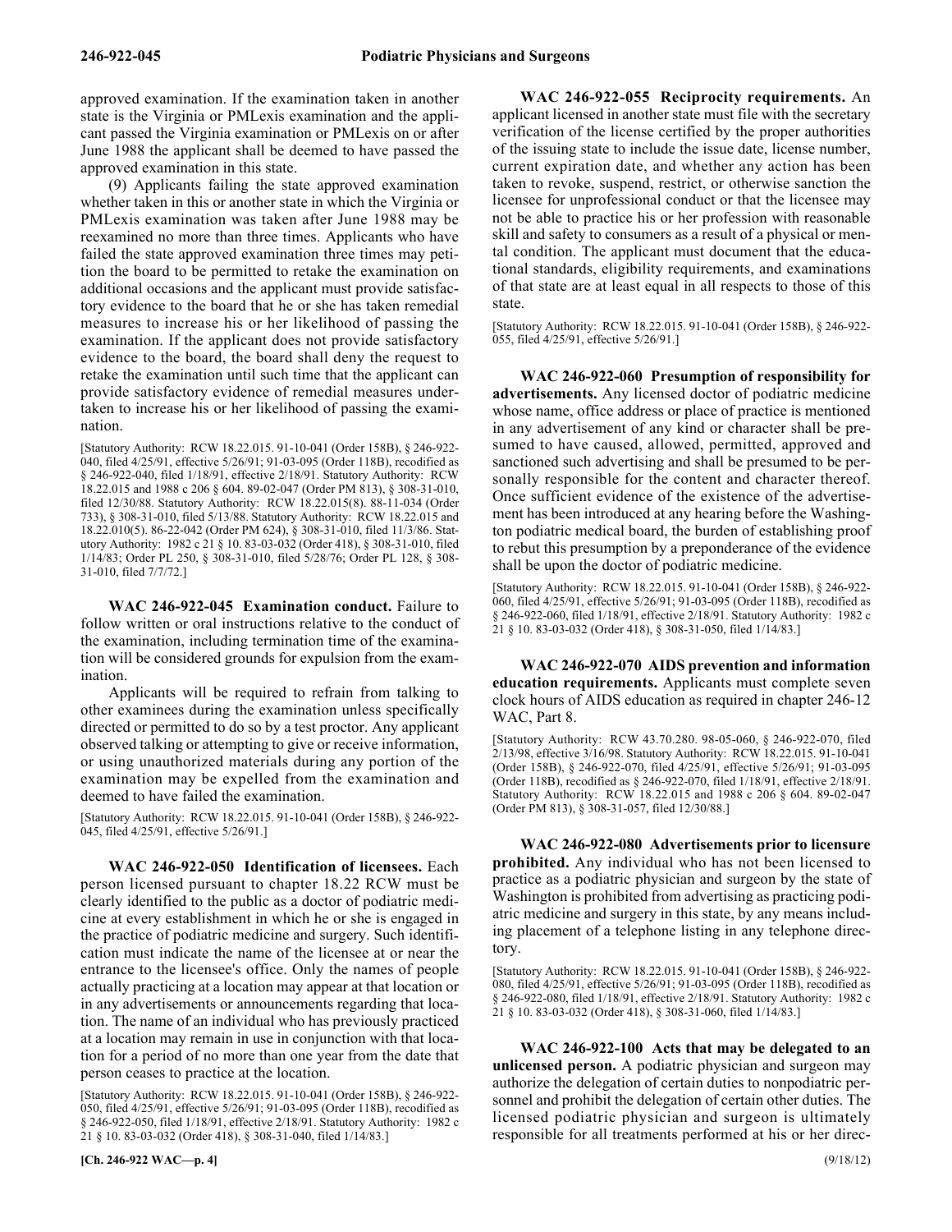approved examination. If the examination taken in another state is the Virginia or PMLexis examination and the applicant passed the Virginia examination or PMLexis on or after June 1988 the applicant shall be deemed to have passed the approved examination in this state.

(9) Applicants failing the state approved examination whether taken in this or another state in which the Virginia or PMLexis examination was taken after June 1988 may be reexamined no more than three times. Applicants who have failed the state approved examination three times may petition the board to be permitted to retake the examination on additional occasions and the applicant must provide satisfactory evidence to the board that he or she has taken remedial measures to increase his or her likelihood of passing the examination. If the applicant does not provide satisfactory evidence to the board, the board shall deny the request to retake the examination until such time that the applicant can provide satisfactory evidence of remedial measures undertaken to increase his or her likelihood of passing the examination.

[Statutory Authority: RCW 18.22.015. 91-10-041 (Order 158B), § 246-922- 040, filed 4/25/91, effective 5/26/91; 91-03-095 (Order 118B), recodified as § 246-922-040, filed 1/18/91, effective 2/18/91. Statutory Authority: RCW 18.22.015 and 1988 c 206 § 604. 89-02-047 (Order PM 813), § 308-31-010, filed 12/30/88. Statutory Authority: RCW 18.22.015(8). 88-11-034 (Order 733), § 308-31-010, filed 5/13/88. Statutory Authority: RCW 18.22.015 and 18.22.010(5). 86-22-042 (Order PM 624), § 308-31-010, filed 11/3/86. Statutory Authority: 1982 c 21 § 10. 83-03-032 (Order 418), § 308-31-010, filed 1/14/83; Order PL 250, § 308-31-010, filed 5/28/76; Order PL 128, § 308- 31-010, filed 7/7/72.]

246-922-045 **WAC 246-922-045 Examination conduct.** Failure to follow written or oral instructions relative to the conduct of the examination, including termination time of the examination will be considered grounds for expulsion from the examination.

Applicants will be required to refrain from talking to other examinees during the examination unless specifically directed or permitted to do so by a test proctor. Any applicant observed talking or attempting to give or receive information, or using unauthorized materials during any portion of the examination may be expelled from the examination and deemed to have failed the examination.

[Statutory Authority: RCW 18.22.015. 91-10-041 (Order 158B), § 246-922- 045, filed 4/25/91, effective 5/26/91.]

246-922-050 **WAC 246-922-050 Identification of licensees.** Each person licensed pursuant to chapter 18.22 RCW must be clearly identified to the public as a doctor of podiatric medicine at every establishment in which he or she is engaged in the practice of podiatric medicine and surgery. Such identification must indicate the name of the licensee at or near the entrance to the licensee's office. Only the names of people actually practicing at a location may appear at that location or in any advertisements or announcements regarding that location. The name of an individual who has previously practiced at a location may remain in use in conjunction with that location for a period of no more than one year from the date that person ceases to practice at the location.

[Statutory Authority: RCW 18.22.015. 91-10-041 (Order 158B), § 246-922- 050, filed 4/25/91, effective 5/26/91; 91-03-095 (Order 118B), recodified as § 246-922-050, filed 1/18/91, effective 2/18/91. Statutory Authority: 1982 c 21 § 10. 83-03-032 (Order 418), § 308-31-040, filed 1/14/83.]

246-922-055 **WAC 246-922-055 Reciprocity requirements.** An applicant licensed in another state must file with the secretary verification of the license certified by the proper authorities of the issuing state to include the issue date, license number, current expiration date, and whether any action has been taken to revoke, suspend, restrict, or otherwise sanction the licensee for unprofessional conduct or that the licensee may not be able to practice his or her profession with reasonable skill and safety to consumers as a result of a physical or mental condition. The applicant must document that the educational standards, eligibility requirements, and examinations of that state are at least equal in all respects to those of this state.

[Statutory Authority: RCW 18.22.015. 91-10-041 (Order 158B), § 246-922- 055, filed 4/25/91, effective 5/26/91.]

246-922-060 **WAC 246-922-060 Presumption of responsibility for advertisements.** Any licensed doctor of podiatric medicine whose name, office address or place of practice is mentioned in any advertisement of any kind or character shall be presumed to have caused, allowed, permitted, approved and sanctioned such advertising and shall be presumed to be personally responsible for the content and character thereof. Once sufficient evidence of the existence of the advertisement has been introduced at any hearing before the Washington podiatric medical board, the burden of establishing proof to rebut this presumption by a preponderance of the evidence shall be upon the doctor of podiatric medicine.

[Statutory Authority: RCW 18.22.015. 91-10-041 (Order 158B), § 246-922- 060, filed 4/25/91, effective 5/26/91; 91-03-095 (Order 118B), recodified as § 246-922-060, filed 1/18/91, effective 2/18/91. Statutory Authority: 1982 c 21 § 10. 83-03-032 (Order 418), § 308-31-050, filed 1/14/83.]

246-922-070 **WAC 246-922-070 AIDS prevention and information education requirements.** Applicants must complete seven clock hours of AIDS education as required in chapter 246-12 WAC, Part 8.

[Statutory Authority: RCW 43.70.280. 98-05-060, § 246-922-070, filed 2/13/98, effective 3/16/98. Statutory Authority: RCW 18.22.015. 91-10-041 (Order 158B), § 246-922-070, filed 4/25/91, effective 5/26/91; 91-03-095 (Order 118B), recodified as § 246-922-070, filed 1/18/91, effective 2/18/91. Statutory Authority: RCW 18.22.015 and 1988 c 206 § 604. 89-02-047 (Order PM 813), § 308-31-057, filed 12/30/88.]

246-922-080 **WAC 246-922-080 Advertisements prior to licensure prohibited.** Any individual who has not been licensed to practice as a podiatric physician and surgeon by the state of Washington is prohibited from advertising as practicing podiatric medicine and surgery in this state, by any means including placement of a telephone listing in any telephone directory.

[Statutory Authority: RCW 18.22.015. 91-10-041 (Order 158B), § 246-922- 080, filed 4/25/91, effective 5/26/91; 91-03-095 (Order 118B), recodified as § 246-922-080, filed 1/18/91, effective 2/18/91. Statutory Authority: 1982 c 21 § 10. 83-03-032 (Order 418), § 308-31-060, filed 1/14/83.]

246-922-100 **WAC 246-922-100 Acts that may be delegated to an unlicensed person.** A podiatric physician and surgeon may authorize the delegation of certain duties to nonpodiatric personnel and prohibit the delegation of certain other duties. The licensed podiatric physician and surgeon is ultimately responsible for all treatments performed at his or her direc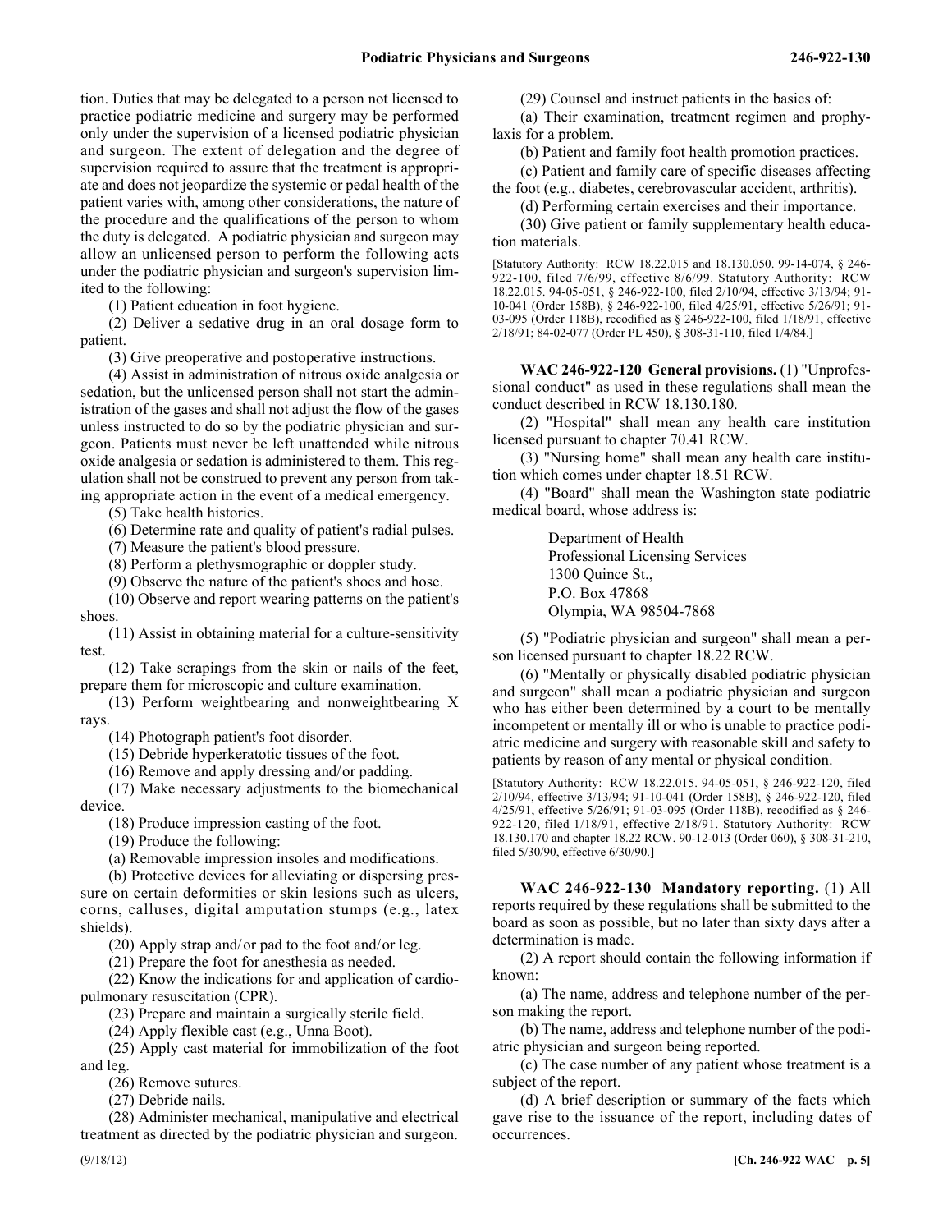tion. Duties that may be delegated to a person not licensed to practice podiatric medicine and surgery may be performed only under the supervision of a licensed podiatric physician and surgeon. The extent of delegation and the degree of supervision required to assure that the treatment is appropriate and does not jeopardize the systemic or pedal health of the patient varies with, among other considerations, the nature of the procedure and the qualifications of the person to whom the duty is delegated. A podiatric physician and surgeon may allow an unlicensed person to perform the following acts under the podiatric physician and surgeon's supervision limited to the following:

(1) Patient education in foot hygiene.

(2) Deliver a sedative drug in an oral dosage form to patient.

(3) Give preoperative and postoperative instructions.

(4) Assist in administration of nitrous oxide analgesia or sedation, but the unlicensed person shall not start the administration of the gases and shall not adjust the flow of the gases unless instructed to do so by the podiatric physician and surgeon. Patients must never be left unattended while nitrous oxide analgesia or sedation is administered to them. This regulation shall not be construed to prevent any person from taking appropriate action in the event of a medical emergency.

(5) Take health histories.

(6) Determine rate and quality of patient's radial pulses.

(7) Measure the patient's blood pressure.

(8) Perform a plethysmographic or doppler study.

(9) Observe the nature of the patient's shoes and hose.

(10) Observe and report wearing patterns on the patient's shoes.

(11) Assist in obtaining material for a culture-sensitivity test.

(12) Take scrapings from the skin or nails of the feet, prepare them for microscopic and culture examination.

(13) Perform weightbearing and nonweightbearing X rays.

(14) Photograph patient's foot disorder.

(15) Debride hyperkeratotic tissues of the foot.

(16) Remove and apply dressing and/or padding.

(17) Make necessary adjustments to the biomechanical device.

(18) Produce impression casting of the foot.

(19) Produce the following:

(a) Removable impression insoles and modifications.

(b) Protective devices for alleviating or dispersing pressure on certain deformities or skin lesions such as ulcers, corns, calluses, digital amputation stumps (e.g., latex shields).

(20) Apply strap and/or pad to the foot and/or leg.

(21) Prepare the foot for anesthesia as needed.

(22) Know the indications for and application of cardiopulmonary resuscitation (CPR).

(23) Prepare and maintain a surgically sterile field.

(24) Apply flexible cast (e.g., Unna Boot).

(25) Apply cast material for immobilization of the foot and leg.

(26) Remove sutures.

(27) Debride nails.

(28) Administer mechanical, manipulative and electrical treatment as directed by the podiatric physician and surgeon.

(29) Counsel and instruct patients in the basics of:

(a) Their examination, treatment regimen and prophylaxis for a problem.

(b) Patient and family foot health promotion practices.

(c) Patient and family care of specific diseases affecting the foot (e.g., diabetes, cerebrovascular accident, arthritis).

(d) Performing certain exercises and their importance.

(30) Give patient or family supplementary health education materials.

[Statutory Authority: RCW 18.22.015 and 18.130.050. 99-14-074, § 246- 922-100, filed 7/6/99, effective 8/6/99. Statutory Authority: RCW 18.22.015. 94-05-051, § 246-922-100, filed 2/10/94, effective 3/13/94; 91- 10-041 (Order 158B), § 246-922-100, filed 4/25/91, effective 5/26/91; 91- 03-095 (Order 118B), recodified as § 246-922-100, filed 1/18/91, effective 2/18/91; 84-02-077 (Order PL 450), § 308-31-110, filed 1/4/84.]

246-922-120 **WAC 246-922-120 General provisions.** (1) "Unprofessional conduct" as used in these regulations shall mean the conduct described in RCW 18.130.180.

(2) "Hospital" shall mean any health care institution licensed pursuant to chapter 70.41 RCW.

(3) "Nursing home" shall mean any health care institution which comes under chapter 18.51 RCW.

(4) "Board" shall mean the Washington state podiatric medical board, whose address is:

> Department of Health Professional Licensing Services 1300 Quince St., P.O. Box 47868 Olympia, WA 98504-7868

(5) "Podiatric physician and surgeon" shall mean a person licensed pursuant to chapter 18.22 RCW.

(6) "Mentally or physically disabled podiatric physician and surgeon" shall mean a podiatric physician and surgeon who has either been determined by a court to be mentally incompetent or mentally ill or who is unable to practice podiatric medicine and surgery with reasonable skill and safety to patients by reason of any mental or physical condition.

[Statutory Authority: RCW 18.22.015. 94-05-051, § 246-922-120, filed 2/10/94, effective 3/13/94; 91-10-041 (Order 158B), § 246-922-120, filed 4/25/91, effective 5/26/91; 91-03-095 (Order 118B), recodified as § 246- 922-120, filed 1/18/91, effective 2/18/91. Statutory Authority: RCW 18.130.170 and chapter 18.22 RCW. 90-12-013 (Order 060), § 308-31-210, filed 5/30/90, effective 6/30/90.]

246-922-130 **WAC 246-922-130 Mandatory reporting.** (1) All reports required by these regulations shall be submitted to the board as soon as possible, but no later than sixty days after a determination is made.

(2) A report should contain the following information if known:

(a) The name, address and telephone number of the person making the report.

(b) The name, address and telephone number of the podiatric physician and surgeon being reported.

(c) The case number of any patient whose treatment is a subject of the report.

(d) A brief description or summary of the facts which gave rise to the issuance of the report, including dates of occurrences.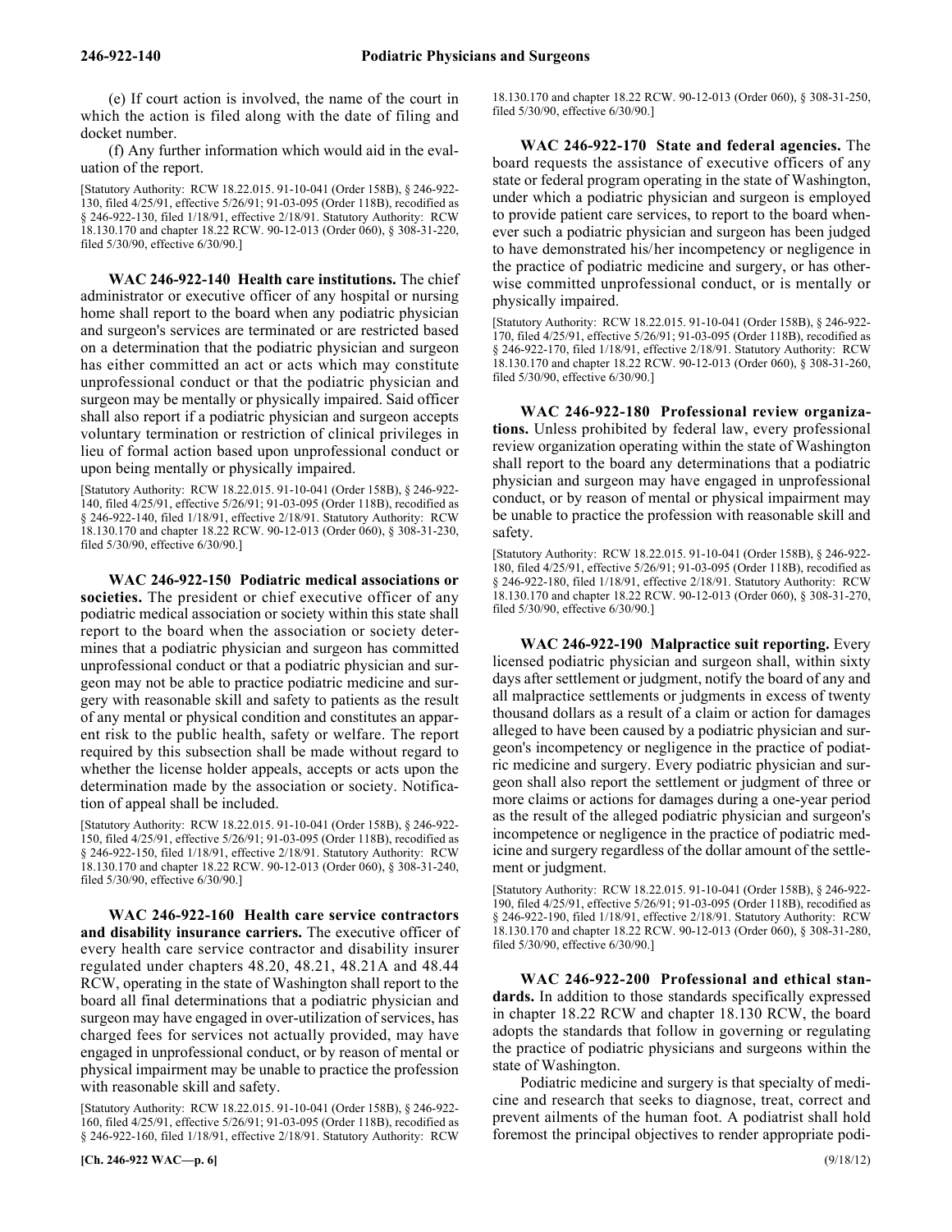(e) If court action is involved, the name of the court in which the action is filed along with the date of filing and docket number.

(f) Any further information which would aid in the evaluation of the report.

[Statutory Authority: RCW 18.22.015. 91-10-041 (Order 158B), § 246-922- 130, filed 4/25/91, effective 5/26/91; 91-03-095 (Order 118B), recodified as § 246-922-130, filed 1/18/91, effective 2/18/91. Statutory Authority: RCW 18.130.170 and chapter 18.22 RCW. 90-12-013 (Order 060), § 308-31-220, filed 5/30/90, effective 6/30/90.]

246-922-140 **WAC 246-922-140 Health care institutions.** The chief administrator or executive officer of any hospital or nursing home shall report to the board when any podiatric physician and surgeon's services are terminated or are restricted based on a determination that the podiatric physician and surgeon has either committed an act or acts which may constitute unprofessional conduct or that the podiatric physician and surgeon may be mentally or physically impaired. Said officer shall also report if a podiatric physician and surgeon accepts voluntary termination or restriction of clinical privileges in lieu of formal action based upon unprofessional conduct or upon being mentally or physically impaired.

[Statutory Authority: RCW 18.22.015. 91-10-041 (Order 158B), § 246-922- 140, filed 4/25/91, effective 5/26/91; 91-03-095 (Order 118B), recodified as § 246-922-140, filed 1/18/91, effective 2/18/91. Statutory Authority: RCW 18.130.170 and chapter 18.22 RCW. 90-12-013 (Order 060), § 308-31-230, filed 5/30/90, effective 6/30/90.]

246-922-150 **WAC 246-922-150 Podiatric medical associations or societies.** The president or chief executive officer of any podiatric medical association or society within this state shall report to the board when the association or society determines that a podiatric physician and surgeon has committed unprofessional conduct or that a podiatric physician and surgeon may not be able to practice podiatric medicine and surgery with reasonable skill and safety to patients as the result of any mental or physical condition and constitutes an apparent risk to the public health, safety or welfare. The report required by this subsection shall be made without regard to whether the license holder appeals, accepts or acts upon the determination made by the association or society. Notification of appeal shall be included.

[Statutory Authority: RCW 18.22.015. 91-10-041 (Order 158B), § 246-922- 150, filed 4/25/91, effective 5/26/91; 91-03-095 (Order 118B), recodified as § 246-922-150, filed 1/18/91, effective 2/18/91. Statutory Authority: RCW 18.130.170 and chapter 18.22 RCW. 90-12-013 (Order 060), § 308-31-240, filed 5/30/90, effective 6/30/90.]

246-922-160 **WAC 246-922-160 Health care service contractors and disability insurance carriers.** The executive officer of every health care service contractor and disability insurer regulated under chapters 48.20, 48.21, 48.21A and 48.44 RCW, operating in the state of Washington shall report to the board all final determinations that a podiatric physician and surgeon may have engaged in over-utilization of services, has charged fees for services not actually provided, may have engaged in unprofessional conduct, or by reason of mental or physical impairment may be unable to practice the profession with reasonable skill and safety.

[Statutory Authority: RCW 18.22.015. 91-10-041 (Order 158B), § 246-922- 160, filed 4/25/91, effective 5/26/91; 91-03-095 (Order 118B), recodified as § 246-922-160, filed 1/18/91, effective 2/18/91. Statutory Authority: RCW

18.130.170 and chapter 18.22 RCW. 90-12-013 (Order 060), § 308-31-250, filed 5/30/90, effective 6/30/90.]

246-922-170 **WAC 246-922-170 State and federal agencies.** The board requests the assistance of executive officers of any state or federal program operating in the state of Washington, under which a podiatric physician and surgeon is employed to provide patient care services, to report to the board whenever such a podiatric physician and surgeon has been judged to have demonstrated his/her incompetency or negligence in the practice of podiatric medicine and surgery, or has otherwise committed unprofessional conduct, or is mentally or physically impaired.

[Statutory Authority: RCW 18.22.015. 91-10-041 (Order 158B), § 246-922- 170, filed 4/25/91, effective 5/26/91; 91-03-095 (Order 118B), recodified as § 246-922-170, filed 1/18/91, effective 2/18/91. Statutory Authority: RCW 18.130.170 and chapter 18.22 RCW. 90-12-013 (Order 060), § 308-31-260, filed 5/30/90, effective 6/30/90.]

246-922-180 **WAC 246-922-180 Professional review organizations.** Unless prohibited by federal law, every professional review organization operating within the state of Washington shall report to the board any determinations that a podiatric physician and surgeon may have engaged in unprofessional conduct, or by reason of mental or physical impairment may be unable to practice the profession with reasonable skill and safety.

[Statutory Authority: RCW 18.22.015. 91-10-041 (Order 158B), § 246-922- 180, filed 4/25/91, effective 5/26/91; 91-03-095 (Order 118B), recodified as § 246-922-180, filed 1/18/91, effective 2/18/91. Statutory Authority: RCW 18.130.170 and chapter 18.22 RCW. 90-12-013 (Order 060), § 308-31-270, filed 5/30/90, effective 6/30/90.]

246-922-190 **WAC 246-922-190 Malpractice suit reporting.** Every licensed podiatric physician and surgeon shall, within sixty days after settlement or judgment, notify the board of any and all malpractice settlements or judgments in excess of twenty thousand dollars as a result of a claim or action for damages alleged to have been caused by a podiatric physician and surgeon's incompetency or negligence in the practice of podiatric medicine and surgery. Every podiatric physician and surgeon shall also report the settlement or judgment of three or more claims or actions for damages during a one-year period as the result of the alleged podiatric physician and surgeon's incompetence or negligence in the practice of podiatric medicine and surgery regardless of the dollar amount of the settlement or judgment.

[Statutory Authority: RCW 18.22.015. 91-10-041 (Order 158B), § 246-922- 190, filed 4/25/91, effective 5/26/91; 91-03-095 (Order 118B), recodified as § 246-922-190, filed 1/18/91, effective 2/18/91. Statutory Authority: RCW 18.130.170 and chapter 18.22 RCW. 90-12-013 (Order 060), § 308-31-280, filed 5/30/90, effective 6/30/90.]

246-922-200 **WAC 246-922-200 Professional and ethical standards.** In addition to those standards specifically expressed in chapter 18.22 RCW and chapter 18.130 RCW, the board adopts the standards that follow in governing or regulating the practice of podiatric physicians and surgeons within the state of Washington.

Podiatric medicine and surgery is that specialty of medicine and research that seeks to diagnose, treat, correct and prevent ailments of the human foot. A podiatrist shall hold foremost the principal objectives to render appropriate podi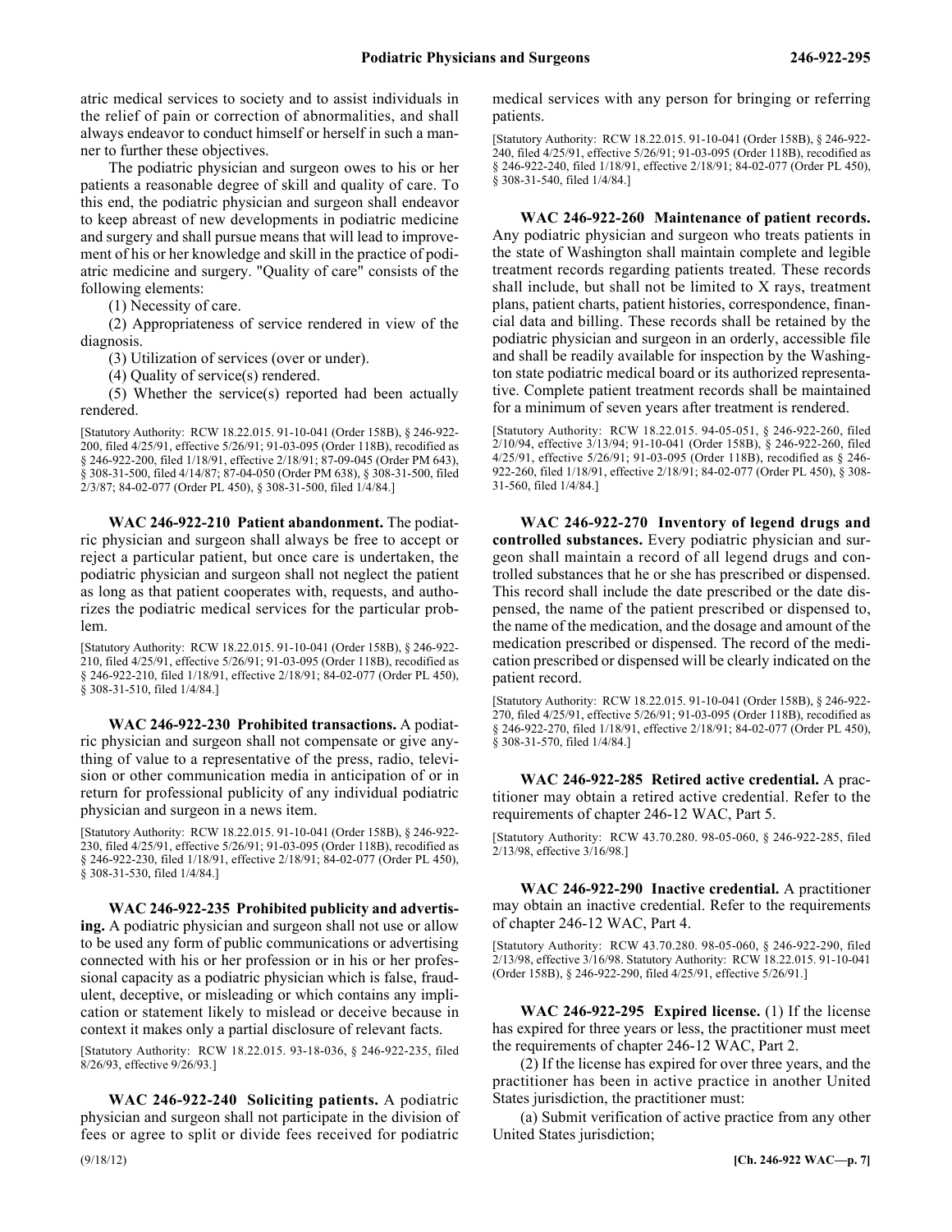atric medical services to society and to assist individuals in the relief of pain or correction of abnormalities, and shall always endeavor to conduct himself or herself in such a manner to further these objectives.

The podiatric physician and surgeon owes to his or her patients a reasonable degree of skill and quality of care. To this end, the podiatric physician and surgeon shall endeavor to keep abreast of new developments in podiatric medicine and surgery and shall pursue means that will lead to improvement of his or her knowledge and skill in the practice of podiatric medicine and surgery. "Quality of care" consists of the following elements:

(1) Necessity of care.

(2) Appropriateness of service rendered in view of the diagnosis.

(3) Utilization of services (over or under).

(4) Quality of service(s) rendered.

(5) Whether the service(s) reported had been actually rendered.

[Statutory Authority: RCW 18.22.015. 91-10-041 (Order 158B), § 246-922- 200, filed 4/25/91, effective 5/26/91; 91-03-095 (Order 118B), recodified as § 246-922-200, filed 1/18/91, effective 2/18/91; 87-09-045 (Order PM 643), § 308-31-500, filed 4/14/87; 87-04-050 (Order PM 638), § 308-31-500, filed 2/3/87; 84-02-077 (Order PL 450), § 308-31-500, filed 1/4/84.]

246-922-210 **WAC 246-922-210 Patient abandonment.** The podiatric physician and surgeon shall always be free to accept or reject a particular patient, but once care is undertaken, the podiatric physician and surgeon shall not neglect the patient as long as that patient cooperates with, requests, and authorizes the podiatric medical services for the particular problem.

[Statutory Authority: RCW 18.22.015. 91-10-041 (Order 158B), § 246-922- 210, filed 4/25/91, effective 5/26/91; 91-03-095 (Order 118B), recodified as § 246-922-210, filed 1/18/91, effective 2/18/91; 84-02-077 (Order PL 450), § 308-31-510, filed 1/4/84.]

246-922-230 **WAC 246-922-230 Prohibited transactions.** A podiatric physician and surgeon shall not compensate or give anything of value to a representative of the press, radio, television or other communication media in anticipation of or in return for professional publicity of any individual podiatric physician and surgeon in a news item.

[Statutory Authority: RCW 18.22.015. 91-10-041 (Order 158B), § 246-922- 230, filed 4/25/91, effective 5/26/91; 91-03-095 (Order 118B), recodified as § 246-922-230, filed 1/18/91, effective 2/18/91; 84-02-077 (Order PL 450), § 308-31-530, filed 1/4/84.]

246-922-235 **WAC 246-922-235 Prohibited publicity and advertising.** A podiatric physician and surgeon shall not use or allow to be used any form of public communications or advertising connected with his or her profession or in his or her professional capacity as a podiatric physician which is false, fraudulent, deceptive, or misleading or which contains any implication or statement likely to mislead or deceive because in context it makes only a partial disclosure of relevant facts.

[Statutory Authority: RCW 18.22.015. 93-18-036, § 246-922-235, filed 8/26/93, effective 9/26/93.]

246-922-240 **WAC 246-922-240 Soliciting patients.** A podiatric physician and surgeon shall not participate in the division of fees or agree to split or divide fees received for podiatric

medical services with any person for bringing or referring patients.

[Statutory Authority: RCW 18.22.015. 91-10-041 (Order 158B), § 246-922- 240, filed 4/25/91, effective 5/26/91; 91-03-095 (Order 118B), recodified as § 246-922-240, filed 1/18/91, effective 2/18/91; 84-02-077 (Order PL 450), § 308-31-540, filed 1/4/84.]

246-922-260 **WAC 246-922-260 Maintenance of patient records.** Any podiatric physician and surgeon who treats patients in the state of Washington shall maintain complete and legible treatment records regarding patients treated. These records shall include, but shall not be limited to X rays, treatment plans, patient charts, patient histories, correspondence, financial data and billing. These records shall be retained by the podiatric physician and surgeon in an orderly, accessible file and shall be readily available for inspection by the Washington state podiatric medical board or its authorized representative. Complete patient treatment records shall be maintained for a minimum of seven years after treatment is rendered.

[Statutory Authority: RCW 18.22.015. 94-05-051, § 246-922-260, filed 2/10/94, effective 3/13/94; 91-10-041 (Order 158B), § 246-922-260, filed 4/25/91, effective 5/26/91; 91-03-095 (Order 118B), recodified as § 246- 922-260, filed 1/18/91, effective 2/18/91; 84-02-077 (Order PL 450), § 308- 31-560, filed 1/4/84.]

246-922-270 **WAC 246-922-270 Inventory of legend drugs and controlled substances.** Every podiatric physician and surgeon shall maintain a record of all legend drugs and controlled substances that he or she has prescribed or dispensed. This record shall include the date prescribed or the date dispensed, the name of the patient prescribed or dispensed to, the name of the medication, and the dosage and amount of the medication prescribed or dispensed. The record of the medication prescribed or dispensed will be clearly indicated on the patient record.

[Statutory Authority: RCW 18.22.015. 91-10-041 (Order 158B), § 246-922- 270, filed 4/25/91, effective 5/26/91; 91-03-095 (Order 118B), recodified as § 246-922-270, filed 1/18/91, effective 2/18/91; 84-02-077 (Order PL 450), § 308-31-570, filed 1/4/84.]

246-922-285 **WAC 246-922-285 Retired active credential.** A practitioner may obtain a retired active credential. Refer to the requirements of chapter 246-12 WAC, Part 5.

[Statutory Authority: RCW 43.70.280. 98-05-060, § 246-922-285, filed 2/13/98, effective 3/16/98.]

246-922-290 **WAC 246-922-290 Inactive credential.** A practitioner may obtain an inactive credential. Refer to the requirements of chapter 246-12 WAC, Part 4.

[Statutory Authority: RCW 43.70.280. 98-05-060, § 246-922-290, filed 2/13/98, effective 3/16/98. Statutory Authority: RCW 18.22.015. 91-10-041 (Order 158B), § 246-922-290, filed 4/25/91, effective 5/26/91.]

246-922-295 **WAC 246-922-295 Expired license.** (1) If the license has expired for three years or less, the practitioner must meet the requirements of chapter 246-12 WAC, Part 2.

(2) If the license has expired for over three years, and the practitioner has been in active practice in another United States jurisdiction, the practitioner must:

(a) Submit verification of active practice from any other United States jurisdiction;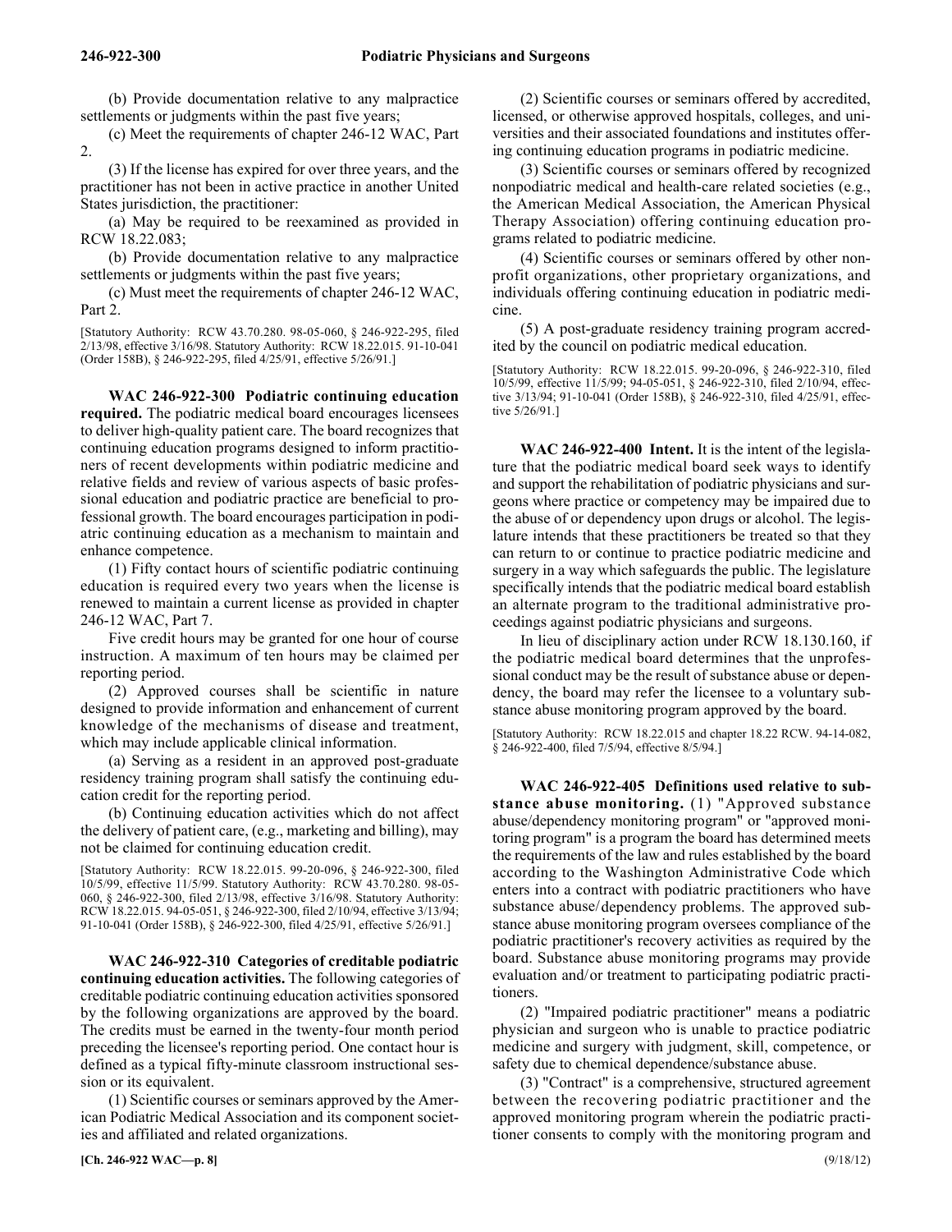(b) Provide documentation relative to any malpractice settlements or judgments within the past five years;

(c) Meet the requirements of chapter 246-12 WAC, Part 2.

(3) If the license has expired for over three years, and the practitioner has not been in active practice in another United States jurisdiction, the practitioner:

(a) May be required to be reexamined as provided in RCW 18.22.083;

(b) Provide documentation relative to any malpractice settlements or judgments within the past five years;

(c) Must meet the requirements of chapter 246-12 WAC, Part 2.

[Statutory Authority: RCW 43.70.280. 98-05-060, § 246-922-295, filed 2/13/98, effective 3/16/98. Statutory Authority: RCW 18.22.015. 91-10-041 (Order 158B), § 246-922-295, filed 4/25/91, effective 5/26/91.]

246-922-300 **WAC 246-922-300 Podiatric continuing education required.** The podiatric medical board encourages licensees to deliver high-quality patient care. The board recognizes that continuing education programs designed to inform practitioners of recent developments within podiatric medicine and relative fields and review of various aspects of basic professional education and podiatric practice are beneficial to professional growth. The board encourages participation in podiatric continuing education as a mechanism to maintain and enhance competence.

(1) Fifty contact hours of scientific podiatric continuing education is required every two years when the license is renewed to maintain a current license as provided in chapter 246-12 WAC, Part 7.

Five credit hours may be granted for one hour of course instruction. A maximum of ten hours may be claimed per reporting period.

(2) Approved courses shall be scientific in nature designed to provide information and enhancement of current knowledge of the mechanisms of disease and treatment, which may include applicable clinical information.

(a) Serving as a resident in an approved post-graduate residency training program shall satisfy the continuing education credit for the reporting period.

(b) Continuing education activities which do not affect the delivery of patient care, (e.g., marketing and billing), may not be claimed for continuing education credit.

[Statutory Authority: RCW 18.22.015. 99-20-096, § 246-922-300, filed 10/5/99, effective 11/5/99. Statutory Authority: RCW 43.70.280. 98-05- 060, § 246-922-300, filed 2/13/98, effective 3/16/98. Statutory Authority: RCW 18.22.015. 94-05-051, § 246-922-300, filed 2/10/94, effective 3/13/94; 91-10-041 (Order 158B), § 246-922-300, filed 4/25/91, effective 5/26/91.]

246-922-310 **WAC 246-922-310 Categories of creditable podiatric continuing education activities.** The following categories of creditable podiatric continuing education activities sponsored by the following organizations are approved by the board. The credits must be earned in the twenty-four month period preceding the licensee's reporting period. One contact hour is defined as a typical fifty-minute classroom instructional session or its equivalent.

(1) Scientific courses or seminars approved by the American Podiatric Medical Association and its component societies and affiliated and related organizations.

(2) Scientific courses or seminars offered by accredited, licensed, or otherwise approved hospitals, colleges, and universities and their associated foundations and institutes offering continuing education programs in podiatric medicine.

(3) Scientific courses or seminars offered by recognized nonpodiatric medical and health-care related societies (e.g., the American Medical Association, the American Physical Therapy Association) offering continuing education programs related to podiatric medicine.

(4) Scientific courses or seminars offered by other nonprofit organizations, other proprietary organizations, and individuals offering continuing education in podiatric medicine.

(5) A post-graduate residency training program accredited by the council on podiatric medical education.

[Statutory Authority: RCW 18.22.015. 99-20-096, § 246-922-310, filed 10/5/99, effective 11/5/99; 94-05-051, § 246-922-310, filed 2/10/94, effective 3/13/94; 91-10-041 (Order 158B), § 246-922-310, filed 4/25/91, effective 5/26/91.]

246-922-400 **WAC 246-922-400 Intent.** It is the intent of the legislature that the podiatric medical board seek ways to identify and support the rehabilitation of podiatric physicians and surgeons where practice or competency may be impaired due to the abuse of or dependency upon drugs or alcohol. The legislature intends that these practitioners be treated so that they can return to or continue to practice podiatric medicine and surgery in a way which safeguards the public. The legislature specifically intends that the podiatric medical board establish an alternate program to the traditional administrative proceedings against podiatric physicians and surgeons.

In lieu of disciplinary action under RCW 18.130.160, if the podiatric medical board determines that the unprofessional conduct may be the result of substance abuse or dependency, the board may refer the licensee to a voluntary substance abuse monitoring program approved by the board.

[Statutory Authority: RCW 18.22.015 and chapter 18.22 RCW. 94-14-082, § 246-922-400, filed 7/5/94, effective 8/5/94.]

246-922-405 **WAC 246-922-405 Definitions used relative to substance abuse monitoring.** (1) "Approved substance abuse/dependency monitoring program" or "approved monitoring program" is a program the board has determined meets the requirements of the law and rules established by the board according to the Washington Administrative Code which enters into a contract with podiatric practitioners who have substance abuse/dependency problems. The approved substance abuse monitoring program oversees compliance of the podiatric practitioner's recovery activities as required by the board. Substance abuse monitoring programs may provide evaluation and/or treatment to participating podiatric practitioners.

(2) "Impaired podiatric practitioner" means a podiatric physician and surgeon who is unable to practice podiatric medicine and surgery with judgment, skill, competence, or safety due to chemical dependence/substance abuse.

(3) "Contract" is a comprehensive, structured agreement between the recovering podiatric practitioner and the approved monitoring program wherein the podiatric practitioner consents to comply with the monitoring program and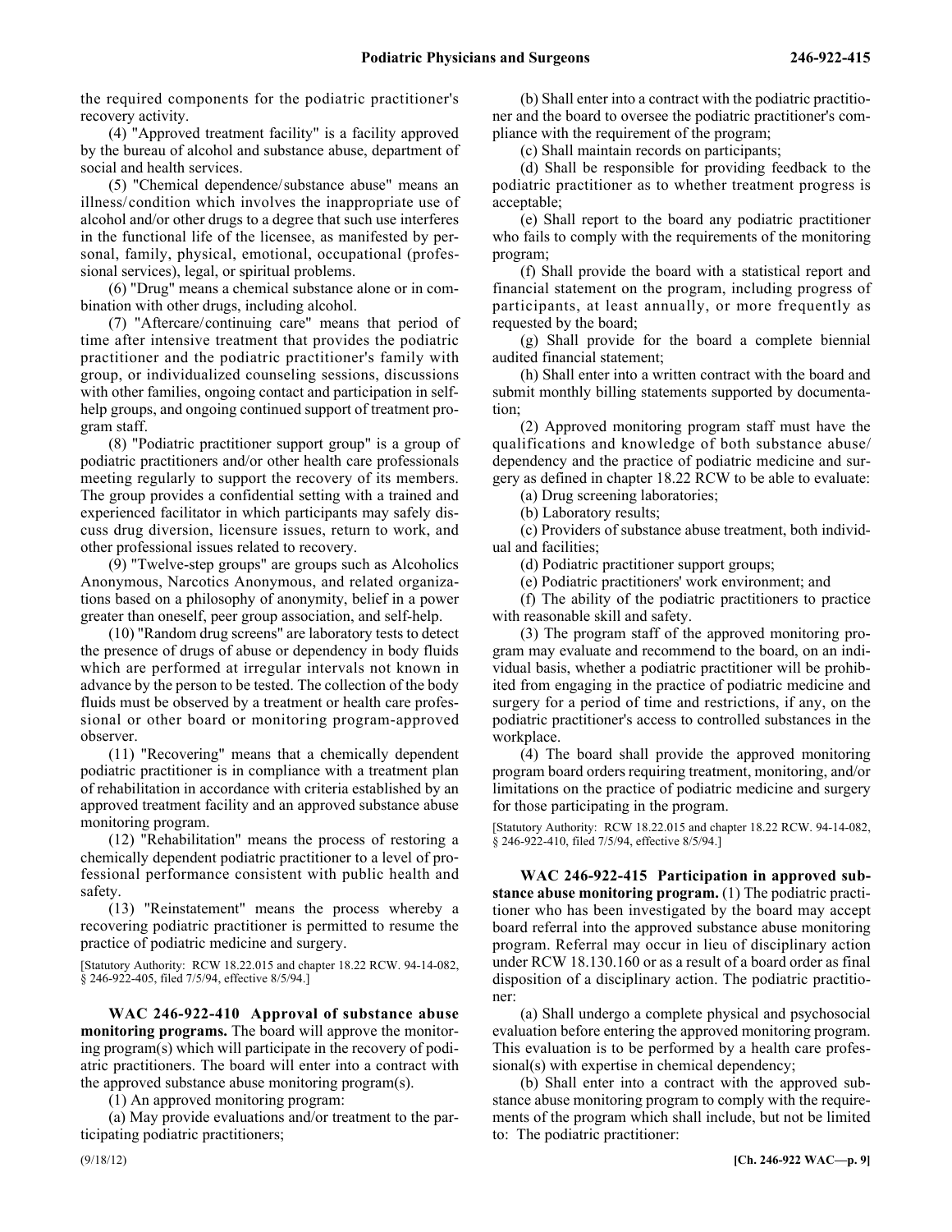the required components for the podiatric practitioner's recovery activity.

(4) "Approved treatment facility" is a facility approved by the bureau of alcohol and substance abuse, department of social and health services.

(5) "Chemical dependence/substance abuse" means an illness/condition which involves the inappropriate use of alcohol and/or other drugs to a degree that such use interferes in the functional life of the licensee, as manifested by personal, family, physical, emotional, occupational (professional services), legal, or spiritual problems.

(6) "Drug" means a chemical substance alone or in combination with other drugs, including alcohol.

(7) "Aftercare/continuing care" means that period of time after intensive treatment that provides the podiatric practitioner and the podiatric practitioner's family with group, or individualized counseling sessions, discussions with other families, ongoing contact and participation in selfhelp groups, and ongoing continued support of treatment program staff.

(8) "Podiatric practitioner support group" is a group of podiatric practitioners and/or other health care professionals meeting regularly to support the recovery of its members. The group provides a confidential setting with a trained and experienced facilitator in which participants may safely discuss drug diversion, licensure issues, return to work, and other professional issues related to recovery.

(9) "Twelve-step groups" are groups such as Alcoholics Anonymous, Narcotics Anonymous, and related organizations based on a philosophy of anonymity, belief in a power greater than oneself, peer group association, and self-help.

(10) "Random drug screens" are laboratory tests to detect the presence of drugs of abuse or dependency in body fluids which are performed at irregular intervals not known in advance by the person to be tested. The collection of the body fluids must be observed by a treatment or health care professional or other board or monitoring program-approved observer.

(11) "Recovering" means that a chemically dependent podiatric practitioner is in compliance with a treatment plan of rehabilitation in accordance with criteria established by an approved treatment facility and an approved substance abuse monitoring program.

(12) "Rehabilitation" means the process of restoring a chemically dependent podiatric practitioner to a level of professional performance consistent with public health and safety.

(13) "Reinstatement" means the process whereby a recovering podiatric practitioner is permitted to resume the practice of podiatric medicine and surgery.

[Statutory Authority: RCW 18.22.015 and chapter 18.22 RCW. 94-14-082, § 246-922-405, filed 7/5/94, effective 8/5/94.]

246-922-410 **WAC 246-922-410 Approval of substance abuse monitoring programs.** The board will approve the monitoring program(s) which will participate in the recovery of podiatric practitioners. The board will enter into a contract with the approved substance abuse monitoring program(s).

(1) An approved monitoring program:

(a) May provide evaluations and/or treatment to the participating podiatric practitioners;

(b) Shall enter into a contract with the podiatric practitioner and the board to oversee the podiatric practitioner's compliance with the requirement of the program;

(c) Shall maintain records on participants;

(d) Shall be responsible for providing feedback to the podiatric practitioner as to whether treatment progress is acceptable;

(e) Shall report to the board any podiatric practitioner who fails to comply with the requirements of the monitoring program;

(f) Shall provide the board with a statistical report and financial statement on the program, including progress of participants, at least annually, or more frequently as requested by the board;

(g) Shall provide for the board a complete biennial audited financial statement;

(h) Shall enter into a written contract with the board and submit monthly billing statements supported by documentation;

(2) Approved monitoring program staff must have the qualifications and knowledge of both substance abuse/ dependency and the practice of podiatric medicine and surgery as defined in chapter 18.22 RCW to be able to evaluate:

(a) Drug screening laboratories;

(b) Laboratory results;

(c) Providers of substance abuse treatment, both individual and facilities;

(d) Podiatric practitioner support groups;

(e) Podiatric practitioners' work environment; and

(f) The ability of the podiatric practitioners to practice with reasonable skill and safety.

(3) The program staff of the approved monitoring program may evaluate and recommend to the board, on an individual basis, whether a podiatric practitioner will be prohibited from engaging in the practice of podiatric medicine and surgery for a period of time and restrictions, if any, on the podiatric practitioner's access to controlled substances in the workplace.

(4) The board shall provide the approved monitoring program board orders requiring treatment, monitoring, and/or limitations on the practice of podiatric medicine and surgery for those participating in the program.

[Statutory Authority: RCW 18.22.015 and chapter 18.22 RCW. 94-14-082, § 246-922-410, filed 7/5/94, effective 8/5/94.]

246-922-415 **WAC 246-922-415 Participation in approved substance abuse monitoring program.** (1) The podiatric practitioner who has been investigated by the board may accept board referral into the approved substance abuse monitoring program. Referral may occur in lieu of disciplinary action under RCW 18.130.160 or as a result of a board order as final disposition of a disciplinary action. The podiatric practitioner:

(a) Shall undergo a complete physical and psychosocial evaluation before entering the approved monitoring program. This evaluation is to be performed by a health care professional(s) with expertise in chemical dependency;

(b) Shall enter into a contract with the approved substance abuse monitoring program to comply with the requirements of the program which shall include, but not be limited to: The podiatric practitioner: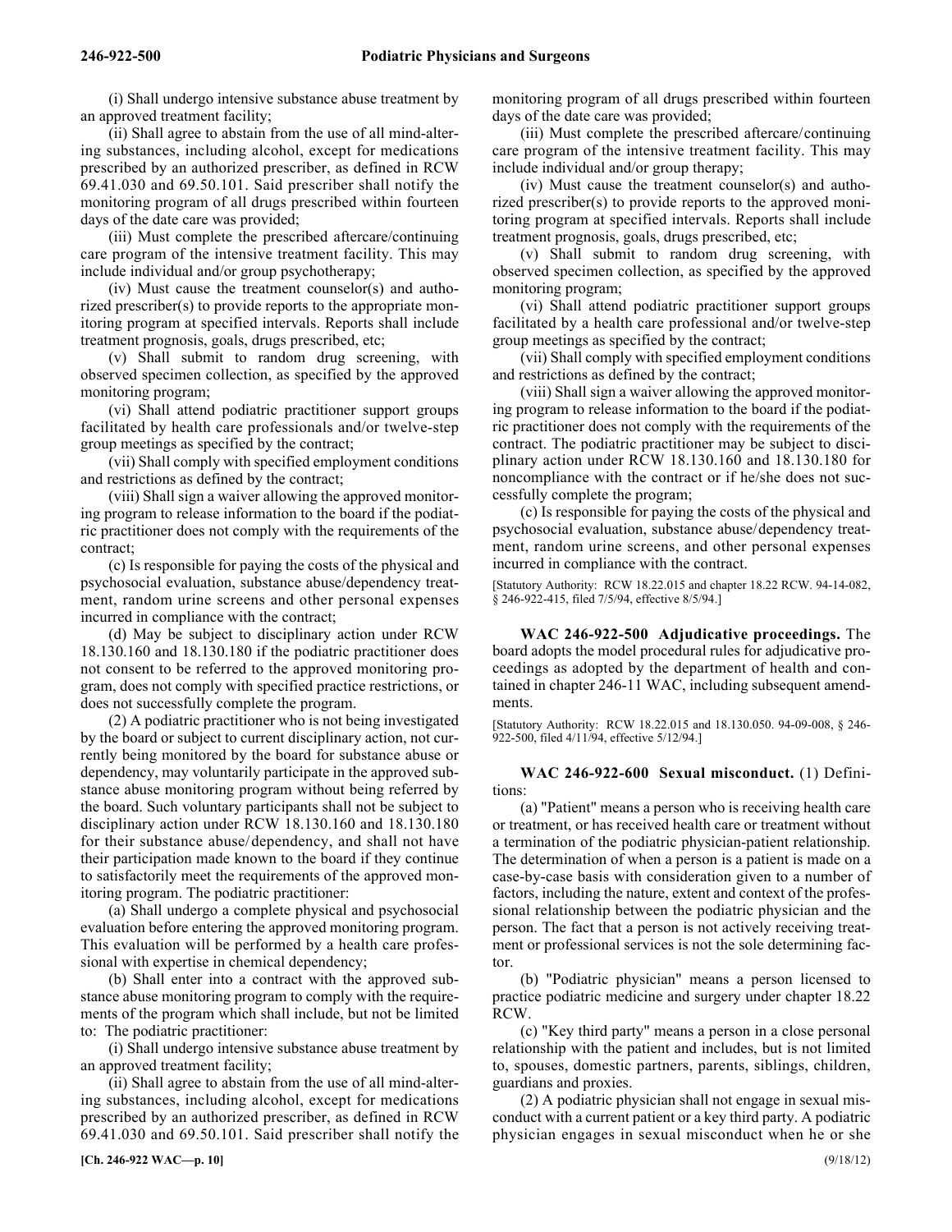(i) Shall undergo intensive substance abuse treatment by an approved treatment facility;

(ii) Shall agree to abstain from the use of all mind-altering substances, including alcohol, except for medications prescribed by an authorized prescriber, as defined in RCW 69.41.030 and 69.50.101. Said prescriber shall notify the monitoring program of all drugs prescribed within fourteen days of the date care was provided;

(iii) Must complete the prescribed aftercare/continuing care program of the intensive treatment facility. This may include individual and/or group psychotherapy;

(iv) Must cause the treatment counselor(s) and authorized prescriber(s) to provide reports to the appropriate monitoring program at specified intervals. Reports shall include treatment prognosis, goals, drugs prescribed, etc;

(v) Shall submit to random drug screening, with observed specimen collection, as specified by the approved monitoring program;

(vi) Shall attend podiatric practitioner support groups facilitated by health care professionals and/or twelve-step group meetings as specified by the contract;

(vii) Shall comply with specified employment conditions and restrictions as defined by the contract;

(viii) Shall sign a waiver allowing the approved monitoring program to release information to the board if the podiatric practitioner does not comply with the requirements of the contract;

(c) Is responsible for paying the costs of the physical and psychosocial evaluation, substance abuse/dependency treatment, random urine screens and other personal expenses incurred in compliance with the contract;

(d) May be subject to disciplinary action under RCW 18.130.160 and 18.130.180 if the podiatric practitioner does not consent to be referred to the approved monitoring program, does not comply with specified practice restrictions, or does not successfully complete the program.

(2) A podiatric practitioner who is not being investigated by the board or subject to current disciplinary action, not currently being monitored by the board for substance abuse or dependency, may voluntarily participate in the approved substance abuse monitoring program without being referred by the board. Such voluntary participants shall not be subject to disciplinary action under RCW 18.130.160 and 18.130.180 for their substance abuse/dependency, and shall not have their participation made known to the board if they continue to satisfactorily meet the requirements of the approved monitoring program. The podiatric practitioner:

(a) Shall undergo a complete physical and psychosocial evaluation before entering the approved monitoring program. This evaluation will be performed by a health care professional with expertise in chemical dependency;

(b) Shall enter into a contract with the approved substance abuse monitoring program to comply with the requirements of the program which shall include, but not be limited to: The podiatric practitioner:

(i) Shall undergo intensive substance abuse treatment by an approved treatment facility;

(ii) Shall agree to abstain from the use of all mind-altering substances, including alcohol, except for medications prescribed by an authorized prescriber, as defined in RCW 69.41.030 and 69.50.101. Said prescriber shall notify the monitoring program of all drugs prescribed within fourteen days of the date care was provided;

(iii) Must complete the prescribed aftercare/continuing care program of the intensive treatment facility. This may include individual and/or group therapy;

(iv) Must cause the treatment counselor(s) and authorized prescriber(s) to provide reports to the approved monitoring program at specified intervals. Reports shall include treatment prognosis, goals, drugs prescribed, etc;

(v) Shall submit to random drug screening, with observed specimen collection, as specified by the approved monitoring program;

(vi) Shall attend podiatric practitioner support groups facilitated by a health care professional and/or twelve-step group meetings as specified by the contract;

(vii) Shall comply with specified employment conditions and restrictions as defined by the contract;

(viii) Shall sign a waiver allowing the approved monitoring program to release information to the board if the podiatric practitioner does not comply with the requirements of the contract. The podiatric practitioner may be subject to disciplinary action under RCW 18.130.160 and 18.130.180 for noncompliance with the contract or if he/she does not successfully complete the program;

(c) Is responsible for paying the costs of the physical and psychosocial evaluation, substance abuse/dependency treatment, random urine screens, and other personal expenses incurred in compliance with the contract.

[Statutory Authority: RCW 18.22.015 and chapter 18.22 RCW. 94-14-082, § 246-922-415, filed 7/5/94, effective 8/5/94.]

246-922-500 **WAC 246-922-500 Adjudicative proceedings.** The board adopts the model procedural rules for adjudicative proceedings as adopted by the department of health and contained in chapter 246-11 WAC, including subsequent amendments.

[Statutory Authority: RCW 18.22.015 and 18.130.050. 94-09-008, § 246- 922-500, filed 4/11/94, effective 5/12/94.]

### 246-922-600 **WAC 246-922-600 Sexual misconduct.** (1) Definitions:

(a) "Patient" means a person who is receiving health care or treatment, or has received health care or treatment without a termination of the podiatric physician-patient relationship. The determination of when a person is a patient is made on a case-by-case basis with consideration given to a number of factors, including the nature, extent and context of the professional relationship between the podiatric physician and the person. The fact that a person is not actively receiving treatment or professional services is not the sole determining factor.

(b) "Podiatric physician" means a person licensed to practice podiatric medicine and surgery under chapter 18.22 RCW.

(c) "Key third party" means a person in a close personal relationship with the patient and includes, but is not limited to, spouses, domestic partners, parents, siblings, children, guardians and proxies.

(2) A podiatric physician shall not engage in sexual misconduct with a current patient or a key third party. A podiatric physician engages in sexual misconduct when he or she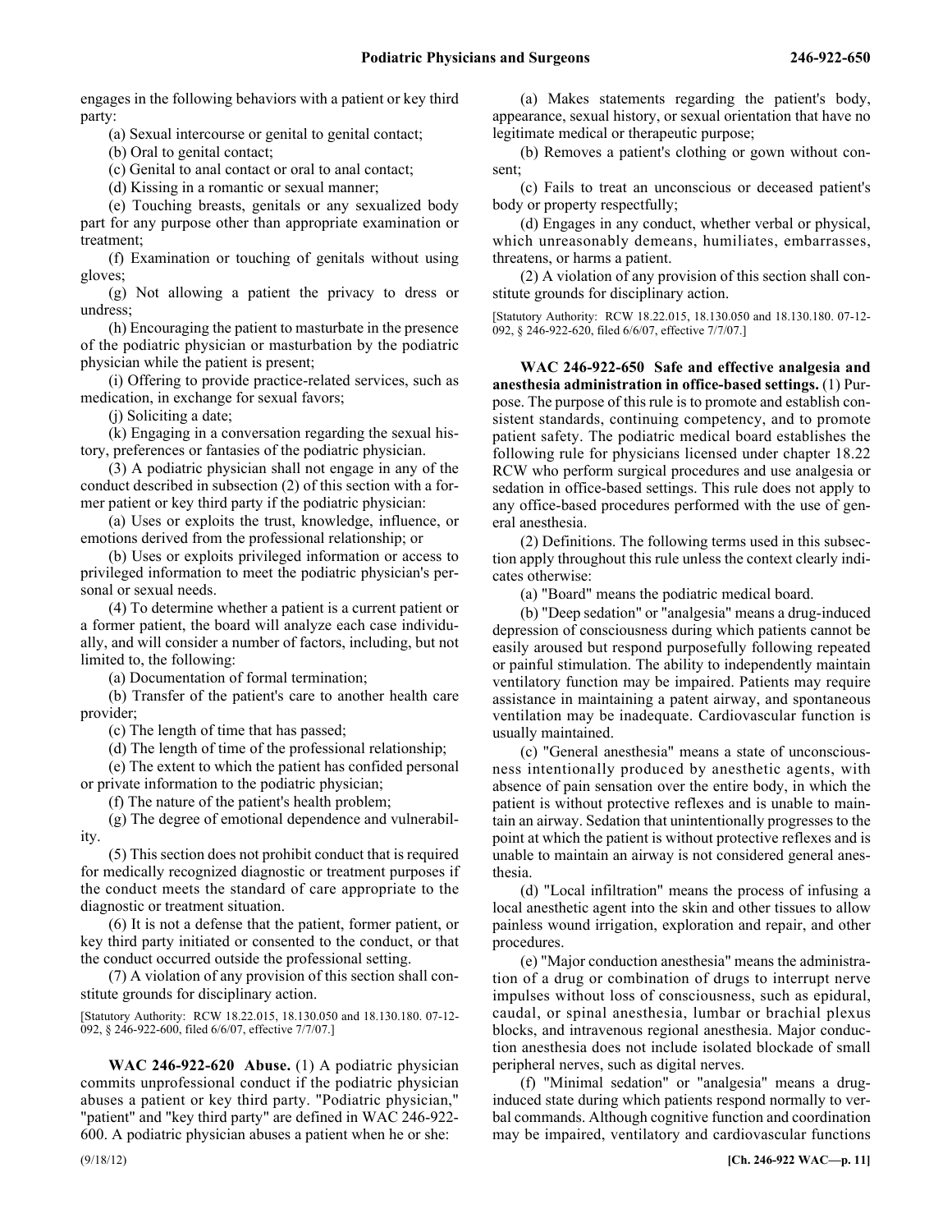engages in the following behaviors with a patient or key third party:

(a) Sexual intercourse or genital to genital contact;

(b) Oral to genital contact;

(c) Genital to anal contact or oral to anal contact;

(d) Kissing in a romantic or sexual manner;

(e) Touching breasts, genitals or any sexualized body part for any purpose other than appropriate examination or treatment;

(f) Examination or touching of genitals without using gloves;

(g) Not allowing a patient the privacy to dress or undress;

(h) Encouraging the patient to masturbate in the presence of the podiatric physician or masturbation by the podiatric physician while the patient is present;

(i) Offering to provide practice-related services, such as medication, in exchange for sexual favors;

(j) Soliciting a date;

(k) Engaging in a conversation regarding the sexual history, preferences or fantasies of the podiatric physician.

(3) A podiatric physician shall not engage in any of the conduct described in subsection (2) of this section with a former patient or key third party if the podiatric physician:

(a) Uses or exploits the trust, knowledge, influence, or emotions derived from the professional relationship; or

(b) Uses or exploits privileged information or access to privileged information to meet the podiatric physician's personal or sexual needs.

(4) To determine whether a patient is a current patient or a former patient, the board will analyze each case individually, and will consider a number of factors, including, but not limited to, the following:

(a) Documentation of formal termination;

(b) Transfer of the patient's care to another health care provider;

(c) The length of time that has passed;

(d) The length of time of the professional relationship;

(e) The extent to which the patient has confided personal or private information to the podiatric physician;

(f) The nature of the patient's health problem;

(g) The degree of emotional dependence and vulnerability.

(5) This section does not prohibit conduct that is required for medically recognized diagnostic or treatment purposes if the conduct meets the standard of care appropriate to the diagnostic or treatment situation.

(6) It is not a defense that the patient, former patient, or key third party initiated or consented to the conduct, or that the conduct occurred outside the professional setting.

(7) A violation of any provision of this section shall constitute grounds for disciplinary action.

[Statutory Authority: RCW 18.22.015, 18.130.050 and 18.130.180. 07-12- 092, § 246-922-600, filed 6/6/07, effective 7/7/07.]

246-922-620 **WAC 246-922-620 Abuse.** (1) A podiatric physician commits unprofessional conduct if the podiatric physician abuses a patient or key third party. "Podiatric physician," "patient" and "key third party" are defined in WAC 246-922- 600. A podiatric physician abuses a patient when he or she:

(a) Makes statements regarding the patient's body, appearance, sexual history, or sexual orientation that have no legitimate medical or therapeutic purpose;

(b) Removes a patient's clothing or gown without consent;

(c) Fails to treat an unconscious or deceased patient's body or property respectfully;

(d) Engages in any conduct, whether verbal or physical, which unreasonably demeans, humiliates, embarrasses, threatens, or harms a patient.

(2) A violation of any provision of this section shall constitute grounds for disciplinary action.

[Statutory Authority: RCW 18.22.015, 18.130.050 and 18.130.180. 07-12- 092, § 246-922-620, filed 6/6/07, effective 7/7/07.]

246-922-650 **WAC 246-922-650 Safe and effective analgesia and anesthesia administration in office-based settings.** (1) Purpose. The purpose of this rule is to promote and establish consistent standards, continuing competency, and to promote patient safety. The podiatric medical board establishes the following rule for physicians licensed under chapter 18.22 RCW who perform surgical procedures and use analgesia or sedation in office-based settings. This rule does not apply to any office-based procedures performed with the use of general anesthesia.

(2) Definitions. The following terms used in this subsection apply throughout this rule unless the context clearly indicates otherwise:

(a) "Board" means the podiatric medical board.

(b) "Deep sedation" or "analgesia" means a drug-induced depression of consciousness during which patients cannot be easily aroused but respond purposefully following repeated or painful stimulation. The ability to independently maintain ventilatory function may be impaired. Patients may require assistance in maintaining a patent airway, and spontaneous ventilation may be inadequate. Cardiovascular function is usually maintained.

(c) "General anesthesia" means a state of unconsciousness intentionally produced by anesthetic agents, with absence of pain sensation over the entire body, in which the patient is without protective reflexes and is unable to maintain an airway. Sedation that unintentionally progresses to the point at which the patient is without protective reflexes and is unable to maintain an airway is not considered general anesthesia.

(d) "Local infiltration" means the process of infusing a local anesthetic agent into the skin and other tissues to allow painless wound irrigation, exploration and repair, and other procedures.

(e) "Major conduction anesthesia" means the administration of a drug or combination of drugs to interrupt nerve impulses without loss of consciousness, such as epidural, caudal, or spinal anesthesia, lumbar or brachial plexus blocks, and intravenous regional anesthesia. Major conduction anesthesia does not include isolated blockade of small peripheral nerves, such as digital nerves.

(f) "Minimal sedation" or "analgesia" means a druginduced state during which patients respond normally to verbal commands. Although cognitive function and coordination may be impaired, ventilatory and cardiovascular functions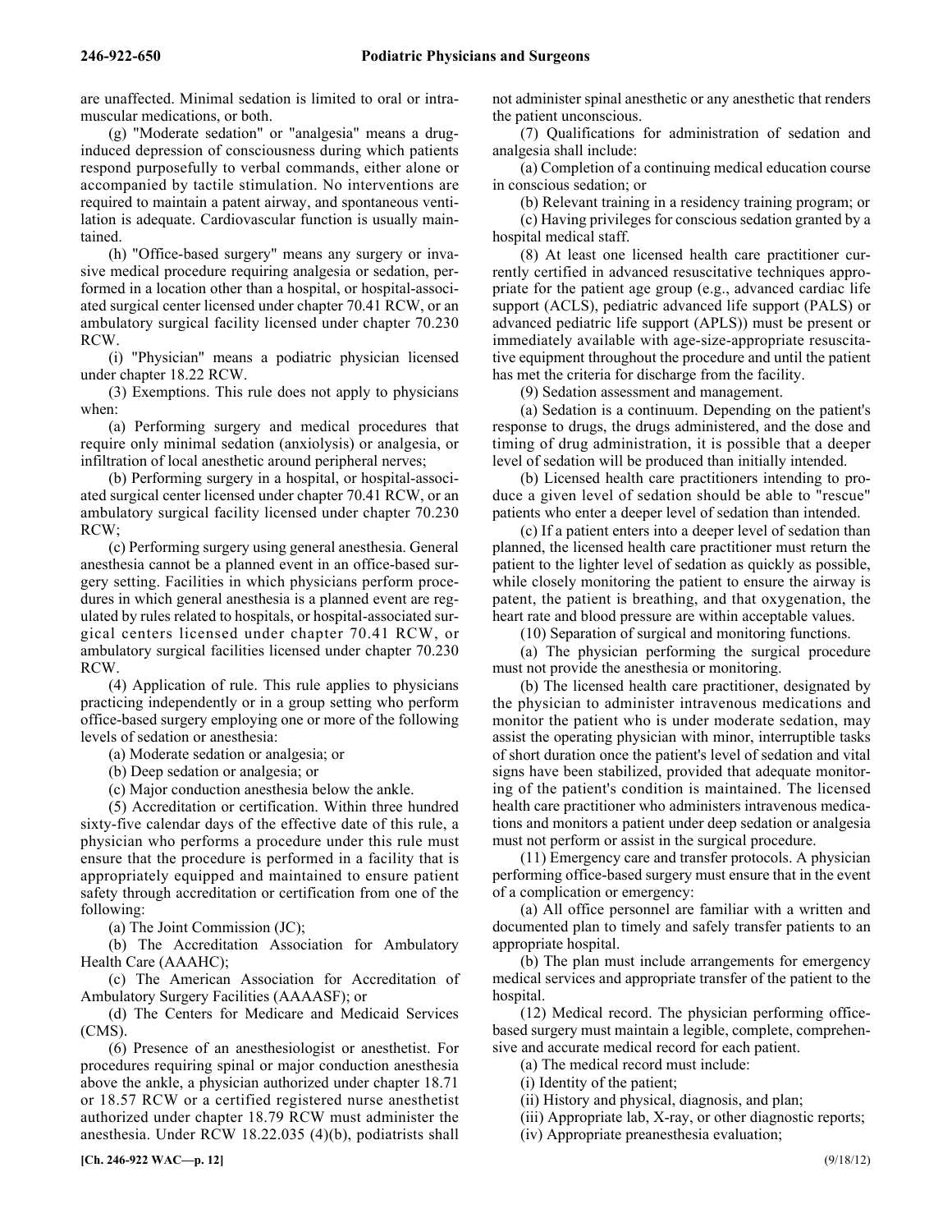are unaffected. Minimal sedation is limited to oral or intramuscular medications, or both.

(g) "Moderate sedation" or "analgesia" means a druginduced depression of consciousness during which patients respond purposefully to verbal commands, either alone or accompanied by tactile stimulation. No interventions are required to maintain a patent airway, and spontaneous ventilation is adequate. Cardiovascular function is usually maintained.

(h) "Office-based surgery" means any surgery or invasive medical procedure requiring analgesia or sedation, performed in a location other than a hospital, or hospital-associated surgical center licensed under chapter 70.41 RCW, or an ambulatory surgical facility licensed under chapter 70.230 RCW.

(i) "Physician" means a podiatric physician licensed under chapter 18.22 RCW.

(3) Exemptions. This rule does not apply to physicians when:

(a) Performing surgery and medical procedures that require only minimal sedation (anxiolysis) or analgesia, or infiltration of local anesthetic around peripheral nerves;

(b) Performing surgery in a hospital, or hospital-associated surgical center licensed under chapter 70.41 RCW, or an ambulatory surgical facility licensed under chapter 70.230 RCW;

(c) Performing surgery using general anesthesia. General anesthesia cannot be a planned event in an office-based surgery setting. Facilities in which physicians perform procedures in which general anesthesia is a planned event are regulated by rules related to hospitals, or hospital-associated surgical centers licensed under chapter 70.41 RCW, or ambulatory surgical facilities licensed under chapter 70.230 RCW.

(4) Application of rule. This rule applies to physicians practicing independently or in a group setting who perform office-based surgery employing one or more of the following levels of sedation or anesthesia:

(a) Moderate sedation or analgesia; or

(b) Deep sedation or analgesia; or

(c) Major conduction anesthesia below the ankle.

(5) Accreditation or certification. Within three hundred sixty-five calendar days of the effective date of this rule, a physician who performs a procedure under this rule must ensure that the procedure is performed in a facility that is appropriately equipped and maintained to ensure patient safety through accreditation or certification from one of the following:

(a) The Joint Commission (JC);

(b) The Accreditation Association for Ambulatory Health Care (AAAHC);

(c) The American Association for Accreditation of Ambulatory Surgery Facilities (AAAASF); or

(d) The Centers for Medicare and Medicaid Services (CMS).

(6) Presence of an anesthesiologist or anesthetist. For procedures requiring spinal or major conduction anesthesia above the ankle, a physician authorized under chapter 18.71 or 18.57 RCW or a certified registered nurse anesthetist authorized under chapter 18.79 RCW must administer the anesthesia. Under RCW 18.22.035 (4)(b), podiatrists shall

not administer spinal anesthetic or any anesthetic that renders the patient unconscious.

(7) Qualifications for administration of sedation and analgesia shall include:

(a) Completion of a continuing medical education course in conscious sedation; or

(b) Relevant training in a residency training program; or (c) Having privileges for conscious sedation granted by a

hospital medical staff. (8) At least one licensed health care practitioner currently certified in advanced resuscitative techniques appropriate for the patient age group (e.g., advanced cardiac life support (ACLS), pediatric advanced life support (PALS) or advanced pediatric life support (APLS)) must be present or immediately available with age-size-appropriate resuscitative equipment throughout the procedure and until the patient has met the criteria for discharge from the facility.

(9) Sedation assessment and management.

(a) Sedation is a continuum. Depending on the patient's response to drugs, the drugs administered, and the dose and timing of drug administration, it is possible that a deeper level of sedation will be produced than initially intended.

(b) Licensed health care practitioners intending to produce a given level of sedation should be able to "rescue" patients who enter a deeper level of sedation than intended.

(c) If a patient enters into a deeper level of sedation than planned, the licensed health care practitioner must return the patient to the lighter level of sedation as quickly as possible, while closely monitoring the patient to ensure the airway is patent, the patient is breathing, and that oxygenation, the heart rate and blood pressure are within acceptable values.

(10) Separation of surgical and monitoring functions.

(a) The physician performing the surgical procedure must not provide the anesthesia or monitoring.

(b) The licensed health care practitioner, designated by the physician to administer intravenous medications and monitor the patient who is under moderate sedation, may assist the operating physician with minor, interruptible tasks of short duration once the patient's level of sedation and vital signs have been stabilized, provided that adequate monitoring of the patient's condition is maintained. The licensed health care practitioner who administers intravenous medications and monitors a patient under deep sedation or analgesia must not perform or assist in the surgical procedure.

(11) Emergency care and transfer protocols. A physician performing office-based surgery must ensure that in the event of a complication or emergency:

(a) All office personnel are familiar with a written and documented plan to timely and safely transfer patients to an appropriate hospital.

(b) The plan must include arrangements for emergency medical services and appropriate transfer of the patient to the hospital.

(12) Medical record. The physician performing officebased surgery must maintain a legible, complete, comprehensive and accurate medical record for each patient.

(a) The medical record must include:

(i) Identity of the patient;

(ii) History and physical, diagnosis, and plan;

(iii) Appropriate lab, X-ray, or other diagnostic reports;

(iv) Appropriate preanesthesia evaluation;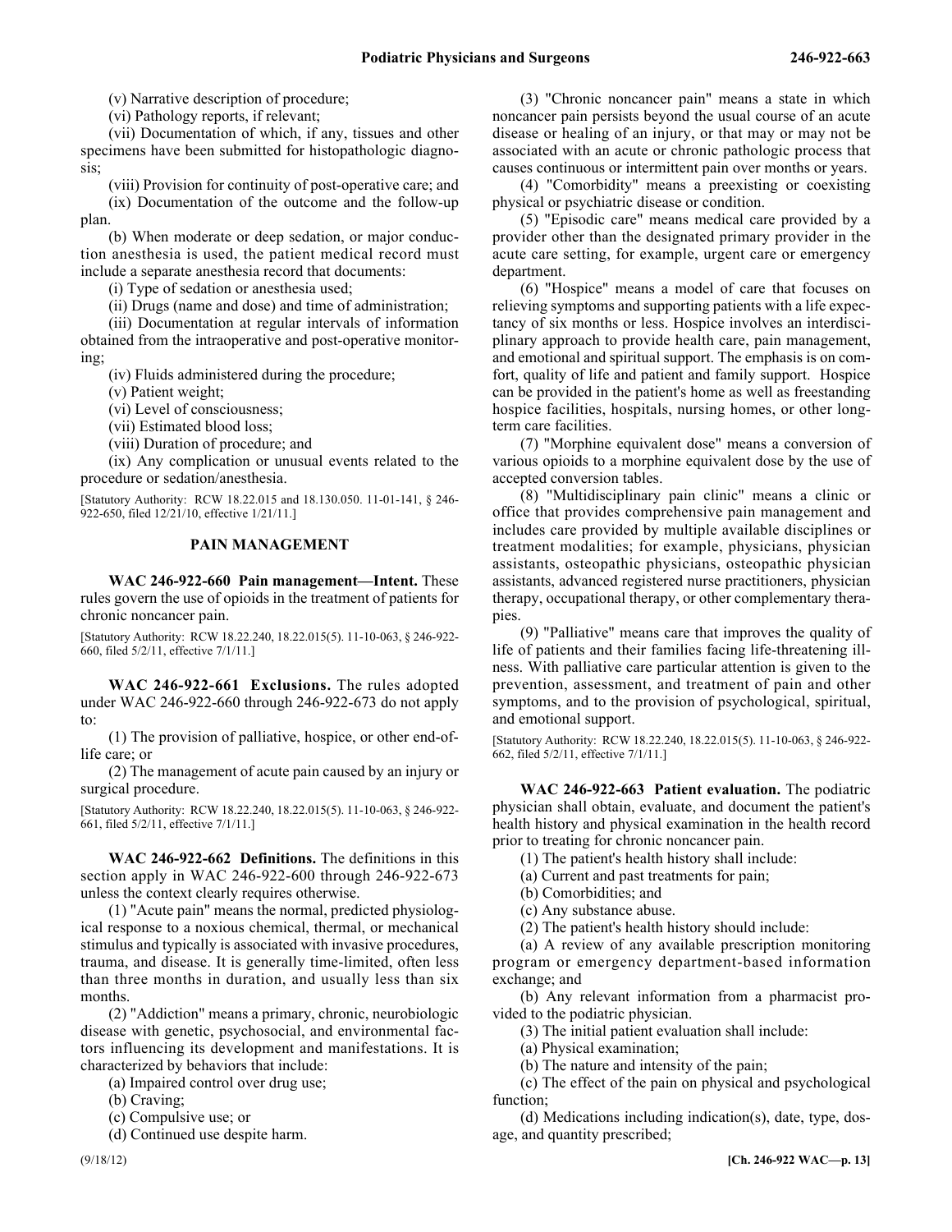(v) Narrative description of procedure;

(vi) Pathology reports, if relevant;

(vii) Documentation of which, if any, tissues and other specimens have been submitted for histopathologic diagnosis;

(viii) Provision for continuity of post-operative care; and

(ix) Documentation of the outcome and the follow-up plan.

(b) When moderate or deep sedation, or major conduction anesthesia is used, the patient medical record must include a separate anesthesia record that documents:

(i) Type of sedation or anesthesia used;

(ii) Drugs (name and dose) and time of administration;

(iii) Documentation at regular intervals of information obtained from the intraoperative and post-operative monitoring;

(iv) Fluids administered during the procedure;

(v) Patient weight;

(vi) Level of consciousness;

(vii) Estimated blood loss;

(viii) Duration of procedure; and

(ix) Any complication or unusual events related to the procedure or sedation/anesthesia.

[Statutory Authority: RCW 18.22.015 and 18.130.050. 11-01-141, § 246- 922-650, filed 12/21/10, effective 1/21/11.]

#### **PAIN MANAGEMENT**

246-922-660 **WAC 246-922-660 Pain management—Intent.** These rules govern the use of opioids in the treatment of patients for chronic noncancer pain.

[Statutory Authority: RCW 18.22.240, 18.22.015(5). 11-10-063, § 246-922- 660, filed 5/2/11, effective 7/1/11.]

246-922-661 **WAC 246-922-661 Exclusions.** The rules adopted under WAC 246-922-660 through 246-922-673 do not apply to:

(1) The provision of palliative, hospice, or other end-oflife care; or

(2) The management of acute pain caused by an injury or surgical procedure.

[Statutory Authority: RCW 18.22.240, 18.22.015(5). 11-10-063, § 246-922- 661, filed 5/2/11, effective 7/1/11.]

246-922-662 **WAC 246-922-662 Definitions.** The definitions in this section apply in WAC 246-922-600 through 246-922-673 unless the context clearly requires otherwise.

(1) "Acute pain" means the normal, predicted physiological response to a noxious chemical, thermal, or mechanical stimulus and typically is associated with invasive procedures, trauma, and disease. It is generally time-limited, often less than three months in duration, and usually less than six months.

(2) "Addiction" means a primary, chronic, neurobiologic disease with genetic, psychosocial, and environmental factors influencing its development and manifestations. It is characterized by behaviors that include:

(a) Impaired control over drug use;

(b) Craving;

(c) Compulsive use; or

(d) Continued use despite harm.

(4) "Comorbidity" means a preexisting or coexisting physical or psychiatric disease or condition.

(5) "Episodic care" means medical care provided by a provider other than the designated primary provider in the acute care setting, for example, urgent care or emergency department.

(6) "Hospice" means a model of care that focuses on relieving symptoms and supporting patients with a life expectancy of six months or less. Hospice involves an interdisciplinary approach to provide health care, pain management, and emotional and spiritual support. The emphasis is on comfort, quality of life and patient and family support. Hospice can be provided in the patient's home as well as freestanding hospice facilities, hospitals, nursing homes, or other longterm care facilities.

(7) "Morphine equivalent dose" means a conversion of various opioids to a morphine equivalent dose by the use of accepted conversion tables.

(8) "Multidisciplinary pain clinic" means a clinic or office that provides comprehensive pain management and includes care provided by multiple available disciplines or treatment modalities; for example, physicians, physician assistants, osteopathic physicians, osteopathic physician assistants, advanced registered nurse practitioners, physician therapy, occupational therapy, or other complementary therapies.

(9) "Palliative" means care that improves the quality of life of patients and their families facing life-threatening illness. With palliative care particular attention is given to the prevention, assessment, and treatment of pain and other symptoms, and to the provision of psychological, spiritual, and emotional support.

[Statutory Authority: RCW 18.22.240, 18.22.015(5). 11-10-063, § 246-922- 662, filed 5/2/11, effective 7/1/11.]

246-922-663 **WAC 246-922-663 Patient evaluation.** The podiatric physician shall obtain, evaluate, and document the patient's health history and physical examination in the health record prior to treating for chronic noncancer pain.

(1) The patient's health history shall include:

(a) Current and past treatments for pain;

- (b) Comorbidities; and
- (c) Any substance abuse.

(2) The patient's health history should include:

(a) A review of any available prescription monitoring program or emergency department-based information exchange; and

(b) Any relevant information from a pharmacist provided to the podiatric physician.

(3) The initial patient evaluation shall include:

(a) Physical examination;

(b) The nature and intensity of the pain;

(c) The effect of the pain on physical and psychological function;

(d) Medications including indication(s), date, type, dosage, and quantity prescribed;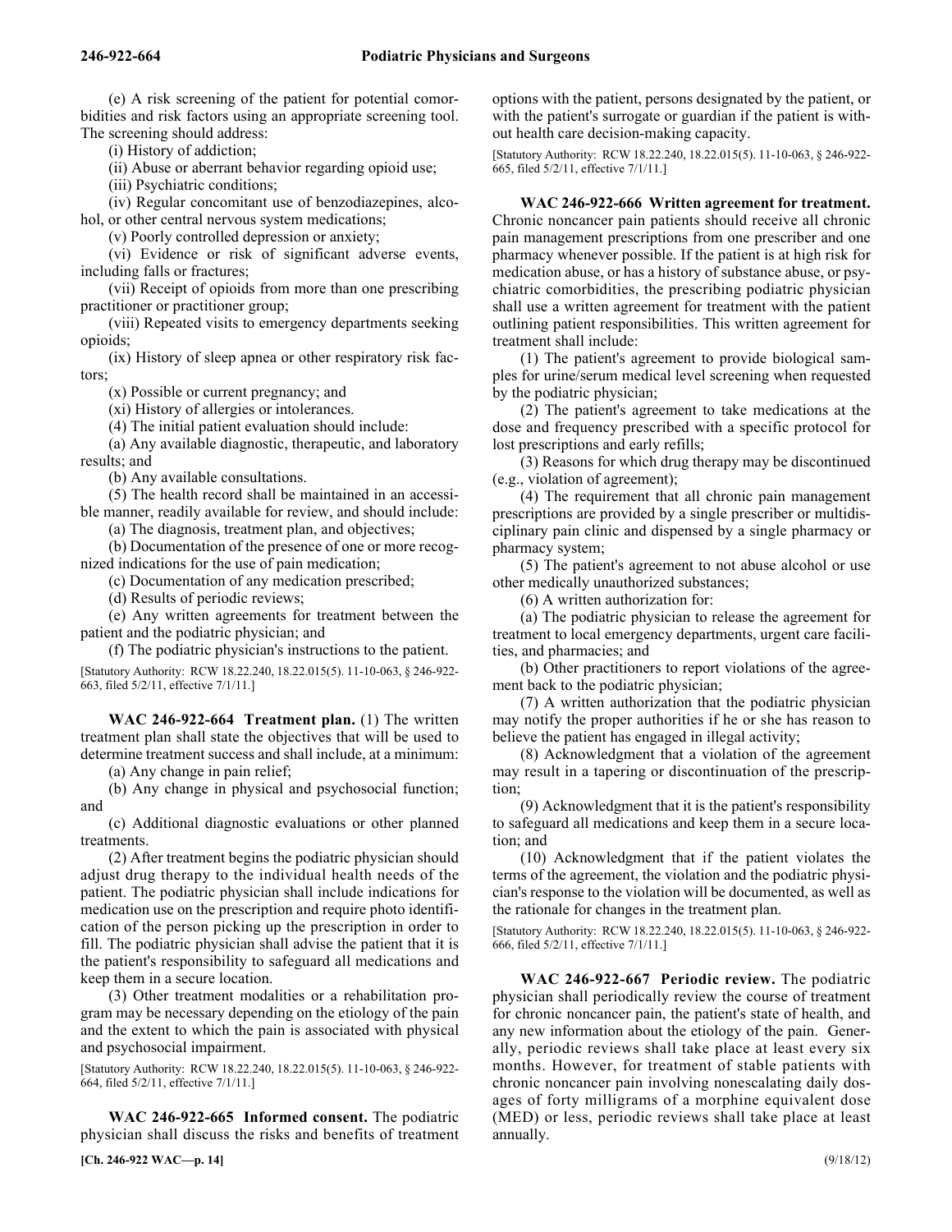(e) A risk screening of the patient for potential comorbidities and risk factors using an appropriate screening tool. The screening should address:

(i) History of addiction;

(ii) Abuse or aberrant behavior regarding opioid use;

(iii) Psychiatric conditions;

(iv) Regular concomitant use of benzodiazepines, alcohol, or other central nervous system medications;

(v) Poorly controlled depression or anxiety;

(vi) Evidence or risk of significant adverse events, including falls or fractures;

(vii) Receipt of opioids from more than one prescribing practitioner or practitioner group;

(viii) Repeated visits to emergency departments seeking opioids;

(ix) History of sleep apnea or other respiratory risk factors;

(x) Possible or current pregnancy; and

(xi) History of allergies or intolerances.

(4) The initial patient evaluation should include:

(a) Any available diagnostic, therapeutic, and laboratory results; and

(b) Any available consultations.

(5) The health record shall be maintained in an accessible manner, readily available for review, and should include:

(a) The diagnosis, treatment plan, and objectives;

(b) Documentation of the presence of one or more recognized indications for the use of pain medication;

(c) Documentation of any medication prescribed;

(d) Results of periodic reviews;

(e) Any written agreements for treatment between the patient and the podiatric physician; and

(f) The podiatric physician's instructions to the patient.

[Statutory Authority: RCW 18.22.240, 18.22.015(5). 11-10-063, § 246-922- 663, filed 5/2/11, effective 7/1/11.]

246-922-664 **WAC 246-922-664 Treatment plan.** (1) The written treatment plan shall state the objectives that will be used to determine treatment success and shall include, at a minimum:

(a) Any change in pain relief;

(b) Any change in physical and psychosocial function; and

(c) Additional diagnostic evaluations or other planned treatments.

(2) After treatment begins the podiatric physician should adjust drug therapy to the individual health needs of the patient. The podiatric physician shall include indications for medication use on the prescription and require photo identification of the person picking up the prescription in order to fill. The podiatric physician shall advise the patient that it is the patient's responsibility to safeguard all medications and keep them in a secure location.

(3) Other treatment modalities or a rehabilitation program may be necessary depending on the etiology of the pain and the extent to which the pain is associated with physical and psychosocial impairment.

[Statutory Authority: RCW 18.22.240, 18.22.015(5). 11-10-063, § 246-922- 664, filed 5/2/11, effective 7/1/11.]

246-922-665 **WAC 246-922-665 Informed consent.** The podiatric physician shall discuss the risks and benefits of treatment

**[Ch. 246-922 WAC—p. 14]** (9/18/12)

options with the patient, persons designated by the patient, or with the patient's surrogate or guardian if the patient is without health care decision-making capacity.

[Statutory Authority: RCW 18.22.240, 18.22.015(5). 11-10-063, § 246-922- 665, filed 5/2/11, effective 7/1/11.]

WAC 246-922-666 Written agreement for treatment. Chronic noncancer pain patients should receive all chronic pain management prescriptions from one prescriber and one pharmacy whenever possible. If the patient is at high risk for medication abuse, or has a history of substance abuse, or psychiatric comorbidities, the prescribing podiatric physician shall use a written agreement for treatment with the patient outlining patient responsibilities. This written agreement for treatment shall include:

(1) The patient's agreement to provide biological samples for urine/serum medical level screening when requested by the podiatric physician;

(2) The patient's agreement to take medications at the dose and frequency prescribed with a specific protocol for lost prescriptions and early refills;

(3) Reasons for which drug therapy may be discontinued (e.g., violation of agreement);

(4) The requirement that all chronic pain management prescriptions are provided by a single prescriber or multidisciplinary pain clinic and dispensed by a single pharmacy or pharmacy system;

(5) The patient's agreement to not abuse alcohol or use other medically unauthorized substances;

(6) A written authorization for:

(a) The podiatric physician to release the agreement for treatment to local emergency departments, urgent care facilities, and pharmacies; and

(b) Other practitioners to report violations of the agreement back to the podiatric physician;

(7) A written authorization that the podiatric physician may notify the proper authorities if he or she has reason to believe the patient has engaged in illegal activity;

(8) Acknowledgment that a violation of the agreement may result in a tapering or discontinuation of the prescription;

(9) Acknowledgment that it is the patient's responsibility to safeguard all medications and keep them in a secure location; and

(10) Acknowledgment that if the patient violates the terms of the agreement, the violation and the podiatric physician's response to the violation will be documented, as well as the rationale for changes in the treatment plan.

[Statutory Authority: RCW 18.22.240, 18.22.015(5). 11-10-063, § 246-922- 666, filed 5/2/11, effective 7/1/11.]

246-922-667 **WAC 246-922-667 Periodic review.** The podiatric physician shall periodically review the course of treatment for chronic noncancer pain, the patient's state of health, and any new information about the etiology of the pain. Generally, periodic reviews shall take place at least every six months. However, for treatment of stable patients with chronic noncancer pain involving nonescalating daily dosages of forty milligrams of a morphine equivalent dose (MED) or less, periodic reviews shall take place at least annually.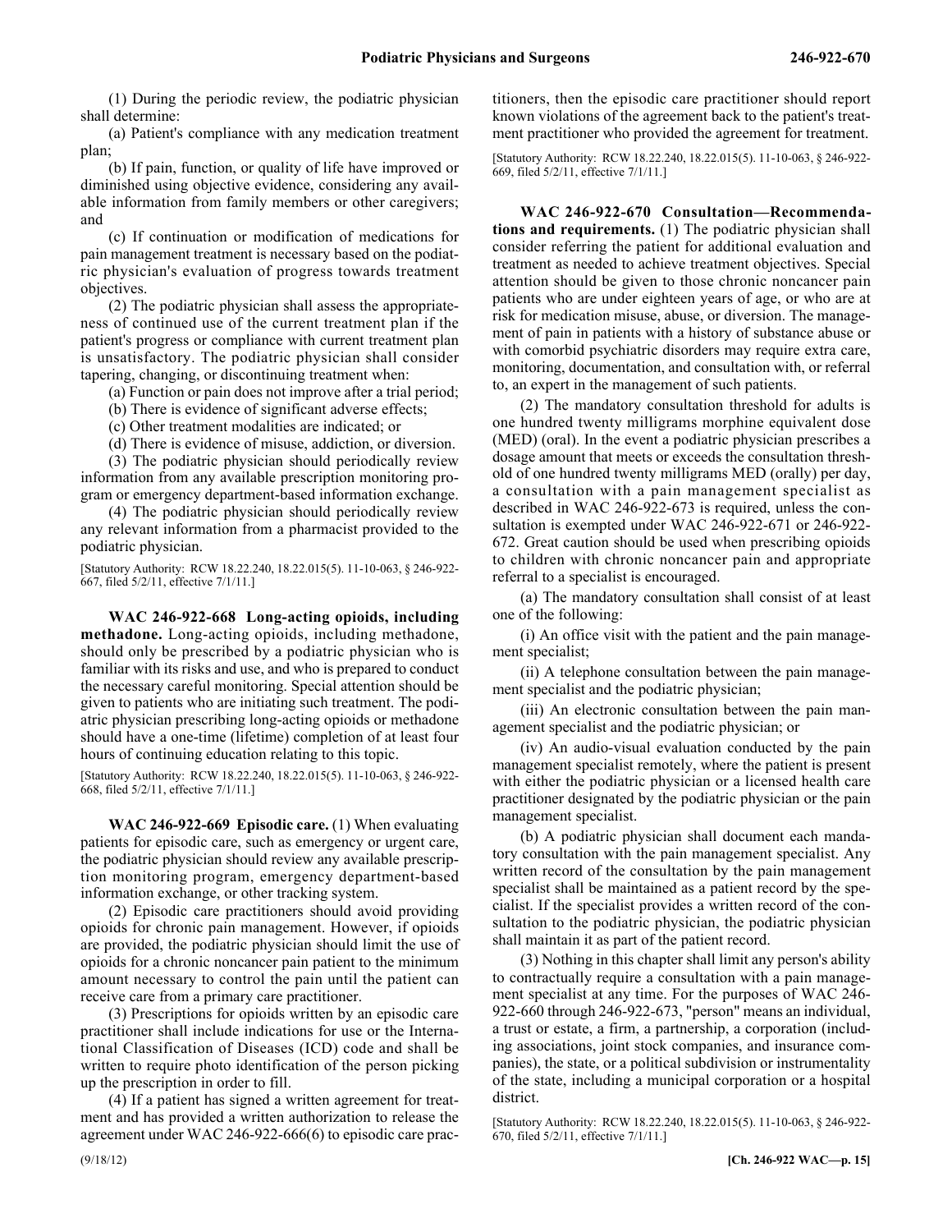(1) During the periodic review, the podiatric physician shall determine:

(a) Patient's compliance with any medication treatment plan;

(b) If pain, function, or quality of life have improved or diminished using objective evidence, considering any available information from family members or other caregivers; and

(c) If continuation or modification of medications for pain management treatment is necessary based on the podiatric physician's evaluation of progress towards treatment objectives.

(2) The podiatric physician shall assess the appropriateness of continued use of the current treatment plan if the patient's progress or compliance with current treatment plan is unsatisfactory. The podiatric physician shall consider tapering, changing, or discontinuing treatment when:

(a) Function or pain does not improve after a trial period;

(b) There is evidence of significant adverse effects;

(c) Other treatment modalities are indicated; or

(d) There is evidence of misuse, addiction, or diversion.

(3) The podiatric physician should periodically review information from any available prescription monitoring program or emergency department-based information exchange.

(4) The podiatric physician should periodically review any relevant information from a pharmacist provided to the podiatric physician.

[Statutory Authority: RCW 18.22.240, 18.22.015(5). 11-10-063, § 246-922- 667, filed 5/2/11, effective 7/1/11.]

246-922-668 **WAC 246-922-668 Long-acting opioids, including methadone.** Long-acting opioids, including methadone, should only be prescribed by a podiatric physician who is familiar with its risks and use, and who is prepared to conduct the necessary careful monitoring. Special attention should be given to patients who are initiating such treatment. The podiatric physician prescribing long-acting opioids or methadone should have a one-time (lifetime) completion of at least four hours of continuing education relating to this topic.

[Statutory Authority: RCW 18.22.240, 18.22.015(5). 11-10-063, § 246-922- 668, filed 5/2/11, effective 7/1/11.]

246-922-669 **WAC 246-922-669 Episodic care.** (1) When evaluating patients for episodic care, such as emergency or urgent care, the podiatric physician should review any available prescription monitoring program, emergency department-based information exchange, or other tracking system.

(2) Episodic care practitioners should avoid providing opioids for chronic pain management. However, if opioids are provided, the podiatric physician should limit the use of opioids for a chronic noncancer pain patient to the minimum amount necessary to control the pain until the patient can receive care from a primary care practitioner.

(3) Prescriptions for opioids written by an episodic care practitioner shall include indications for use or the International Classification of Diseases (ICD) code and shall be written to require photo identification of the person picking up the prescription in order to fill.

(4) If a patient has signed a written agreement for treatment and has provided a written authorization to release the agreement under WAC 246-922-666(6) to episodic care practitioners, then the episodic care practitioner should report known violations of the agreement back to the patient's treatment practitioner who provided the agreement for treatment.

[Statutory Authority: RCW 18.22.240, 18.22.015(5). 11-10-063, § 246-922- 669, filed 5/2/11, effective 7/1/11.]

246-922-670 **WAC 246-922-670 Consultation—Recommendations and requirements.** (1) The podiatric physician shall consider referring the patient for additional evaluation and treatment as needed to achieve treatment objectives. Special attention should be given to those chronic noncancer pain patients who are under eighteen years of age, or who are at risk for medication misuse, abuse, or diversion. The management of pain in patients with a history of substance abuse or with comorbid psychiatric disorders may require extra care, monitoring, documentation, and consultation with, or referral to, an expert in the management of such patients.

(2) The mandatory consultation threshold for adults is one hundred twenty milligrams morphine equivalent dose (MED) (oral). In the event a podiatric physician prescribes a dosage amount that meets or exceeds the consultation threshold of one hundred twenty milligrams MED (orally) per day, a consultation with a pain management specialist as described in WAC 246-922-673 is required, unless the consultation is exempted under WAC 246-922-671 or 246-922- 672. Great caution should be used when prescribing opioids to children with chronic noncancer pain and appropriate referral to a specialist is encouraged.

(a) The mandatory consultation shall consist of at least one of the following:

(i) An office visit with the patient and the pain management specialist;

(ii) A telephone consultation between the pain management specialist and the podiatric physician;

(iii) An electronic consultation between the pain management specialist and the podiatric physician; or

(iv) An audio-visual evaluation conducted by the pain management specialist remotely, where the patient is present with either the podiatric physician or a licensed health care practitioner designated by the podiatric physician or the pain management specialist.

(b) A podiatric physician shall document each mandatory consultation with the pain management specialist. Any written record of the consultation by the pain management specialist shall be maintained as a patient record by the specialist. If the specialist provides a written record of the consultation to the podiatric physician, the podiatric physician shall maintain it as part of the patient record.

(3) Nothing in this chapter shall limit any person's ability to contractually require a consultation with a pain management specialist at any time. For the purposes of WAC 246- 922-660 through 246-922-673, "person" means an individual, a trust or estate, a firm, a partnership, a corporation (including associations, joint stock companies, and insurance companies), the state, or a political subdivision or instrumentality of the state, including a municipal corporation or a hospital district.

[Statutory Authority: RCW 18.22.240, 18.22.015(5). 11-10-063, § 246-922- 670, filed 5/2/11, effective 7/1/11.]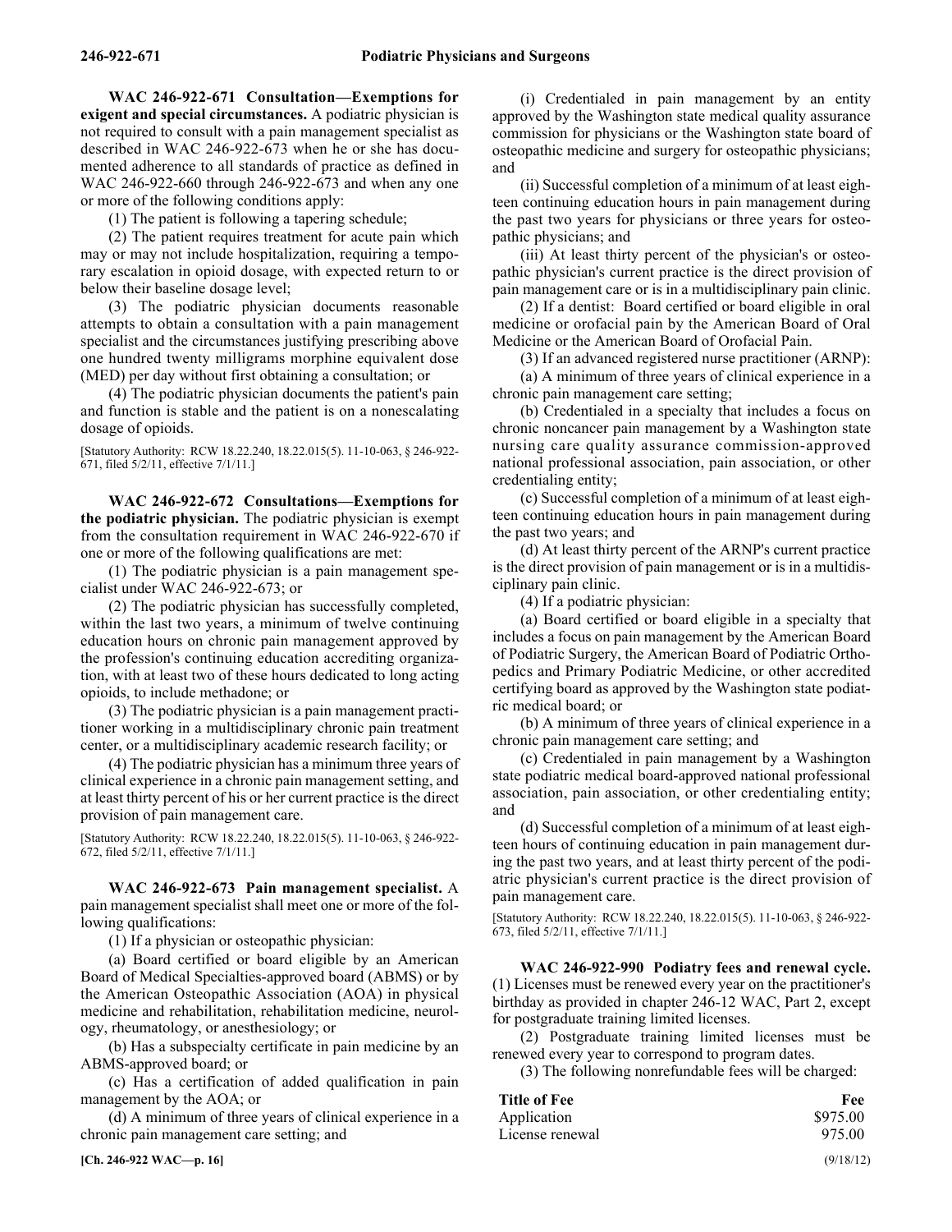246-922-671 **WAC 246-922-671 Consultation—Exemptions for exigent and special circumstances.** A podiatric physician is not required to consult with a pain management specialist as described in WAC 246-922-673 when he or she has documented adherence to all standards of practice as defined in WAC 246-922-660 through 246-922-673 and when any one or more of the following conditions apply:

(1) The patient is following a tapering schedule;

(2) The patient requires treatment for acute pain which may or may not include hospitalization, requiring a temporary escalation in opioid dosage, with expected return to or below their baseline dosage level;

(3) The podiatric physician documents reasonable attempts to obtain a consultation with a pain management specialist and the circumstances justifying prescribing above one hundred twenty milligrams morphine equivalent dose (MED) per day without first obtaining a consultation; or

(4) The podiatric physician documents the patient's pain and function is stable and the patient is on a nonescalating dosage of opioids.

[Statutory Authority: RCW 18.22.240, 18.22.015(5). 11-10-063, § 246-922- 671, filed 5/2/11, effective 7/1/11.]

246-922-672 **WAC 246-922-672 Consultations—Exemptions for the podiatric physician.** The podiatric physician is exempt from the consultation requirement in WAC 246-922-670 if one or more of the following qualifications are met:

(1) The podiatric physician is a pain management specialist under WAC 246-922-673; or

(2) The podiatric physician has successfully completed, within the last two years, a minimum of twelve continuing education hours on chronic pain management approved by the profession's continuing education accrediting organization, with at least two of these hours dedicated to long acting opioids, to include methadone; or

(3) The podiatric physician is a pain management practitioner working in a multidisciplinary chronic pain treatment center, or a multidisciplinary academic research facility; or

(4) The podiatric physician has a minimum three years of clinical experience in a chronic pain management setting, and at least thirty percent of his or her current practice is the direct provision of pain management care.

[Statutory Authority: RCW 18.22.240, 18.22.015(5). 11-10-063, § 246-922- 672, filed 5/2/11, effective 7/1/11.]

246-922-673 **WAC 246-922-673 Pain management specialist.** A pain management specialist shall meet one or more of the following qualifications:

(1) If a physician or osteopathic physician:

(a) Board certified or board eligible by an American Board of Medical Specialties-approved board (ABMS) or by the American Osteopathic Association (AOA) in physical medicine and rehabilitation, rehabilitation medicine, neurology, rheumatology, or anesthesiology; or

(b) Has a subspecialty certificate in pain medicine by an ABMS-approved board; or

(c) Has a certification of added qualification in pain management by the AOA; or

(d) A minimum of three years of clinical experience in a chronic pain management care setting; and

(i) Credentialed in pain management by an entity approved by the Washington state medical quality assurance commission for physicians or the Washington state board of osteopathic medicine and surgery for osteopathic physicians; and

(ii) Successful completion of a minimum of at least eighteen continuing education hours in pain management during the past two years for physicians or three years for osteopathic physicians; and

(iii) At least thirty percent of the physician's or osteopathic physician's current practice is the direct provision of pain management care or is in a multidisciplinary pain clinic.

(2) If a dentist: Board certified or board eligible in oral medicine or orofacial pain by the American Board of Oral Medicine or the American Board of Orofacial Pain.

(3) If an advanced registered nurse practitioner (ARNP):

(a) A minimum of three years of clinical experience in a chronic pain management care setting;

(b) Credentialed in a specialty that includes a focus on chronic noncancer pain management by a Washington state nursing care quality assurance commission-approved national professional association, pain association, or other credentialing entity;

(c) Successful completion of a minimum of at least eighteen continuing education hours in pain management during the past two years; and

(d) At least thirty percent of the ARNP's current practice is the direct provision of pain management or is in a multidisciplinary pain clinic.

(4) If a podiatric physician:

(a) Board certified or board eligible in a specialty that includes a focus on pain management by the American Board of Podiatric Surgery, the American Board of Podiatric Orthopedics and Primary Podiatric Medicine, or other accredited certifying board as approved by the Washington state podiatric medical board; or

(b) A minimum of three years of clinical experience in a chronic pain management care setting; and

(c) Credentialed in pain management by a Washington state podiatric medical board-approved national professional association, pain association, or other credentialing entity; and

(d) Successful completion of a minimum of at least eighteen hours of continuing education in pain management during the past two years, and at least thirty percent of the podiatric physician's current practice is the direct provision of pain management care.

[Statutory Authority: RCW 18.22.240, 18.22.015(5). 11-10-063, § 246-922- 673, filed 5/2/11, effective 7/1/11.]

246-922-990 **WAC 246-922-990 Podiatry fees and renewal cycle.** (1) Licenses must be renewed every year on the practitioner's birthday as provided in chapter 246-12 WAC, Part 2, except for postgraduate training limited licenses.

(2) Postgraduate training limited licenses must be renewed every year to correspond to program dates.

(3) The following nonrefundable fees will be charged:

| <b>Title of Fee</b> | Fee                                       |
|---------------------|-------------------------------------------|
| Application         | \$975.00                                  |
| License renewal     | 975.00                                    |
|                     | $\sim$ $\sim$ $\sim$ $\sim$ $\sim$ $\sim$ |